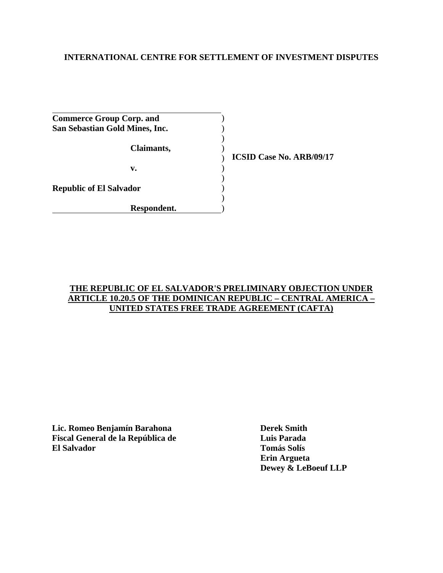# **INTERNATIONAL CENTRE FOR SETTLEMENT OF INVESTMENT DISPUTES**

| <b>Commerce Group Corp. and</b> |  |
|---------------------------------|--|
| San Sebastian Gold Mines, Inc.  |  |
|                                 |  |
| Claimants,                      |  |
|                                 |  |
| v.                              |  |
|                                 |  |
| <b>Republic of El Salvador</b>  |  |
|                                 |  |
| Respondent.                     |  |

**ICSID Case No. ARB/09/17**

### **THE REPUBLIC OF EL SALVADOR'S PRELIMINARY OBJECTION UNDER ARTICLE 10.20.5 OF THE DOMINICAN REPUBLIC – CENTRAL AMERICA – UNITED STATES FREE TRADE AGREEMENT (CAFTA)**

**Lic. Romeo Benjamín Barahona Derek Smith Fiscal General de la República de Luis Parada El Salvador Tomás Solís** 

 **Erin Argueta Dewey & LeBoeuf LLP**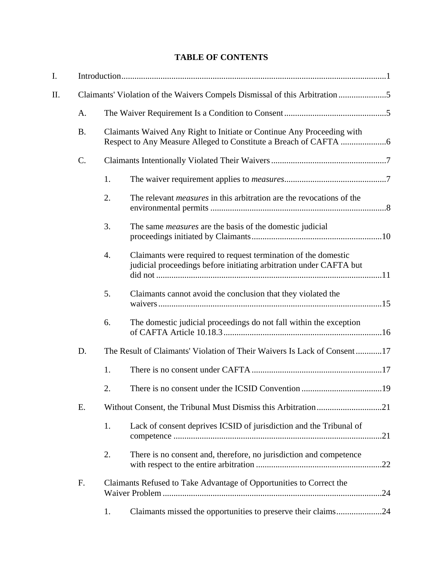# **TABLE OF CONTENTS**

| I.  |                                                                            |    |                                                                                                                                      |     |
|-----|----------------------------------------------------------------------------|----|--------------------------------------------------------------------------------------------------------------------------------------|-----|
| ΙΙ. | Claimants' Violation of the Waivers Compels Dismissal of this Arbitration5 |    |                                                                                                                                      |     |
|     | A.                                                                         |    |                                                                                                                                      |     |
|     | <b>B.</b>                                                                  |    | Claimants Waived Any Right to Initiate or Continue Any Proceeding with                                                               |     |
|     | $\mathcal{C}$ .                                                            |    |                                                                                                                                      |     |
|     |                                                                            | 1. |                                                                                                                                      |     |
|     |                                                                            | 2. | The relevant <i>measures</i> in this arbitration are the revocations of the                                                          |     |
|     |                                                                            | 3. | The same <i>measures</i> are the basis of the domestic judicial                                                                      |     |
|     |                                                                            | 4. | Claimants were required to request termination of the domestic<br>judicial proceedings before initiating arbitration under CAFTA but |     |
|     |                                                                            | 5. | Claimants cannot avoid the conclusion that they violated the                                                                         |     |
|     |                                                                            | 6. | The domestic judicial proceedings do not fall within the exception                                                                   |     |
|     | D.                                                                         |    | The Result of Claimants' Violation of Their Waivers Is Lack of Consent17                                                             |     |
|     |                                                                            | 1. |                                                                                                                                      |     |
|     |                                                                            | 2. |                                                                                                                                      |     |
|     | Ε.                                                                         |    |                                                                                                                                      |     |
|     |                                                                            | 1. | Lack of consent deprives ICSID of jurisdiction and the Tribunal of                                                                   | .21 |
|     |                                                                            | 2. | There is no consent and, therefore, no jurisdiction and competence                                                                   |     |
|     | F.                                                                         |    | Claimants Refused to Take Advantage of Opportunities to Correct the                                                                  |     |
|     |                                                                            | 1. | Claimants missed the opportunities to preserve their claims24                                                                        |     |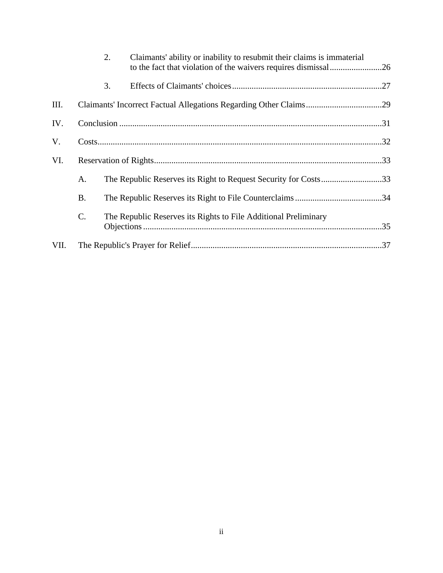|      |                 | 2. | Claimants' ability or inability to resubmit their claims is immaterial |  |
|------|-----------------|----|------------------------------------------------------------------------|--|
|      |                 | 3. |                                                                        |  |
| III. |                 |    |                                                                        |  |
| IV.  |                 |    |                                                                        |  |
| V.   |                 |    |                                                                        |  |
| VI.  |                 |    |                                                                        |  |
|      | A.              |    | The Republic Reserves its Right to Request Security for Costs33        |  |
|      | <b>B.</b>       |    |                                                                        |  |
|      | $\mathcal{C}$ . |    | The Republic Reserves its Rights to File Additional Preliminary        |  |
| VII. |                 |    |                                                                        |  |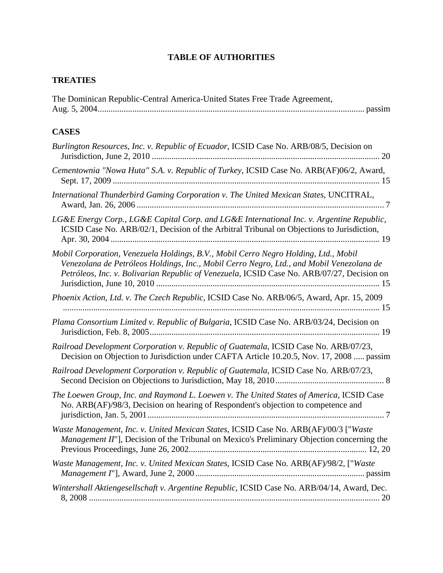# **TABLE OF AUTHORITIES**

# **TREATIES**

| The Dominican Republic-Central America-United States Free Trade Agreement, |  |
|----------------------------------------------------------------------------|--|
|                                                                            |  |

# **CASES**

| Burlington Resources, Inc. v. Republic of Ecuador, ICSID Case No. ARB/08/5, Decision on                                                                                                                                                                                       |
|-------------------------------------------------------------------------------------------------------------------------------------------------------------------------------------------------------------------------------------------------------------------------------|
| Cementownia "Nowa Huta" S.A. v. Republic of Turkey, ICSID Case No. ARB(AF)06/2, Award,                                                                                                                                                                                        |
| International Thunderbird Gaming Corporation v. The United Mexican States, UNCITRAL,                                                                                                                                                                                          |
| LG&E Energy Corp., LG&E Capital Corp. and LG&E International Inc. v. Argentine Republic,<br>ICSID Case No. ARB/02/1, Decision of the Arbitral Tribunal on Objections to Jurisdiction,                                                                                         |
| Mobil Corporation, Venezuela Holdings, B.V., Mobil Cerro Negro Holding, Ltd., Mobil<br>Venezolana de Petróleos Holdings, Inc., Mobil Cerro Negro, Ltd., and Mobil Venezolana de<br>Petróleos, Inc. v. Bolivarian Republic of Venezuela, ICSID Case No. ARB/07/27, Decision on |
| Phoenix Action, Ltd. v. The Czech Republic, ICSID Case No. ARB/06/5, Award, Apr. 15, 2009                                                                                                                                                                                     |
| Plama Consortium Limited v. Republic of Bulgaria, ICSID Case No. ARB/03/24, Decision on                                                                                                                                                                                       |
| Railroad Development Corporation v. Republic of Guatemala, ICSID Case No. ARB/07/23,<br>Decision on Objection to Jurisdiction under CAFTA Article 10.20.5, Nov. 17, 2008  passim                                                                                              |
| Railroad Development Corporation v. Republic of Guatemala, ICSID Case No. ARB/07/23,                                                                                                                                                                                          |
| The Loewen Group, Inc. and Raymond L. Loewen v. The United States of America, ICSID Case<br>No. ARB(AF)/98/3, Decision on hearing of Respondent's objection to competence and                                                                                                 |
| Waste Management, Inc. v. United Mexican States, ICSID Case No. ARB(AF)/00/3 ["Waste<br><i>Management II"</i> ], Decision of the Tribunal on Mexico's Preliminary Objection concerning the                                                                                    |
| Waste Management, Inc. v. United Mexican States, ICSID Case No. ARB(AF)/98/2, ["Waste                                                                                                                                                                                         |
| Wintershall Aktiengesellschaft v. Argentine Republic, ICSID Case No. ARB/04/14, Award, Dec.                                                                                                                                                                                   |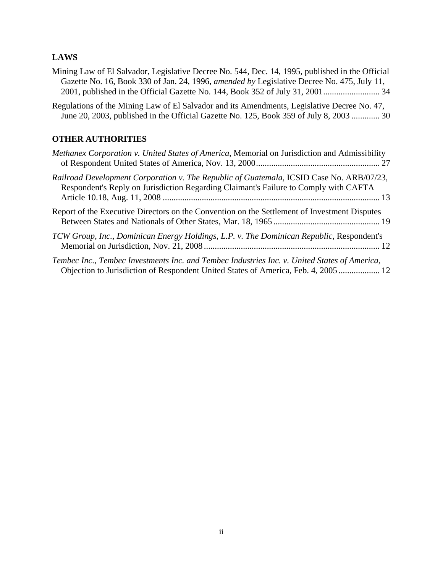# **LAWS**

| Mining Law of El Salvador, Legislative Decree No. 544, Dec. 14, 1995, published in the Official   |  |
|---------------------------------------------------------------------------------------------------|--|
| Gazette No. 16, Book 330 of Jan. 24, 1996, <i>amended by Legislative Decree No.</i> 475, July 11, |  |
|                                                                                                   |  |

Regulations of the Mining Law of El Salvador and its Amendments, Legislative Decree No. 47, June 20, 2003, published in the Official Gazette No. 125, Book 359 of July 8, 2003 ............. 30

## **OTHER AUTHORITIES**

| Methanex Corporation v. United States of America, Memorial on Jurisdiction and Admissibility                                                                                       |
|------------------------------------------------------------------------------------------------------------------------------------------------------------------------------------|
| Railroad Development Corporation v. The Republic of Guatemala, ICSID Case No. ARB/07/23,<br>Respondent's Reply on Jurisdiction Regarding Claimant's Failure to Comply with CAFTA   |
| Report of the Executive Directors on the Convention on the Settlement of Investment Disputes                                                                                       |
| TCW Group, Inc., Dominican Energy Holdings, L.P. v. The Dominican Republic, Respondent's                                                                                           |
| Tembec Inc., Tembec Investments Inc. and Tembec Industries Inc. v. United States of America,<br>Objection to Jurisdiction of Respondent United States of America, Feb. 4, 2005  12 |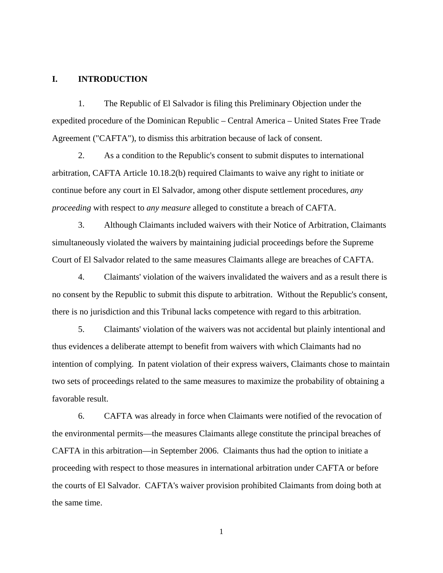#### **I. INTRODUCTION**

1. The Republic of El Salvador is filing this Preliminary Objection under the expedited procedure of the Dominican Republic – Central America – United States Free Trade Agreement ("CAFTA"), to dismiss this arbitration because of lack of consent.

2. As a condition to the Republic's consent to submit disputes to international arbitration, CAFTA Article 10.18.2(b) required Claimants to waive any right to initiate or continue before any court in El Salvador, among other dispute settlement procedures, *any proceeding* with respect to *any measure* alleged to constitute a breach of CAFTA.

3. Although Claimants included waivers with their Notice of Arbitration, Claimants simultaneously violated the waivers by maintaining judicial proceedings before the Supreme Court of El Salvador related to the same measures Claimants allege are breaches of CAFTA.

4. Claimants' violation of the waivers invalidated the waivers and as a result there is no consent by the Republic to submit this dispute to arbitration. Without the Republic's consent, there is no jurisdiction and this Tribunal lacks competence with regard to this arbitration.

5. Claimants' violation of the waivers was not accidental but plainly intentional and thus evidences a deliberate attempt to benefit from waivers with which Claimants had no intention of complying. In patent violation of their express waivers, Claimants chose to maintain two sets of proceedings related to the same measures to maximize the probability of obtaining a favorable result.

6. CAFTA was already in force when Claimants were notified of the revocation of the environmental permits—the measures Claimants allege constitute the principal breaches of CAFTA in this arbitration—in September 2006. Claimants thus had the option to initiate a proceeding with respect to those measures in international arbitration under CAFTA or before the courts of El Salvador. CAFTA's waiver provision prohibited Claimants from doing both at the same time.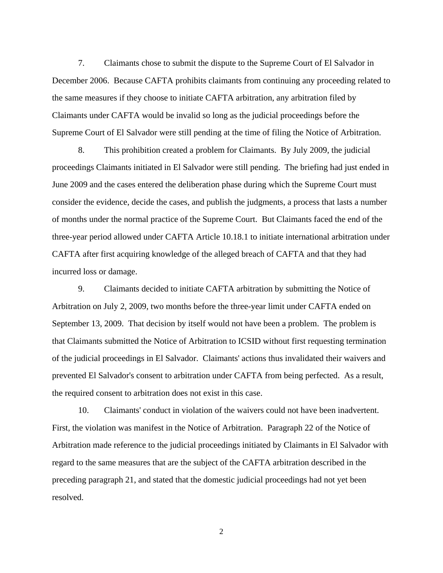7. Claimants chose to submit the dispute to the Supreme Court of El Salvador in December 2006. Because CAFTA prohibits claimants from continuing any proceeding related to the same measures if they choose to initiate CAFTA arbitration, any arbitration filed by Claimants under CAFTA would be invalid so long as the judicial proceedings before the Supreme Court of El Salvador were still pending at the time of filing the Notice of Arbitration.

8. This prohibition created a problem for Claimants. By July 2009, the judicial proceedings Claimants initiated in El Salvador were still pending. The briefing had just ended in June 2009 and the cases entered the deliberation phase during which the Supreme Court must consider the evidence, decide the cases, and publish the judgments, a process that lasts a number of months under the normal practice of the Supreme Court. But Claimants faced the end of the three-year period allowed under CAFTA Article 10.18.1 to initiate international arbitration under CAFTA after first acquiring knowledge of the alleged breach of CAFTA and that they had incurred loss or damage.

9. Claimants decided to initiate CAFTA arbitration by submitting the Notice of Arbitration on July 2, 2009, two months before the three-year limit under CAFTA ended on September 13, 2009. That decision by itself would not have been a problem. The problem is that Claimants submitted the Notice of Arbitration to ICSID without first requesting termination of the judicial proceedings in El Salvador. Claimants' actions thus invalidated their waivers and prevented El Salvador's consent to arbitration under CAFTA from being perfected. As a result, the required consent to arbitration does not exist in this case.

10. Claimants' conduct in violation of the waivers could not have been inadvertent. First, the violation was manifest in the Notice of Arbitration. Paragraph 22 of the Notice of Arbitration made reference to the judicial proceedings initiated by Claimants in El Salvador with regard to the same measures that are the subject of the CAFTA arbitration described in the preceding paragraph 21, and stated that the domestic judicial proceedings had not yet been resolved.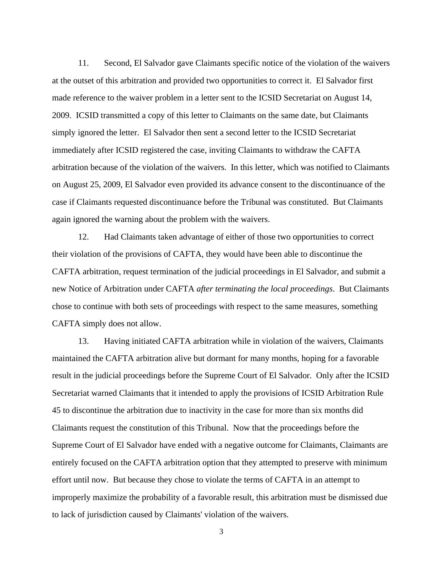11. Second, El Salvador gave Claimants specific notice of the violation of the waivers at the outset of this arbitration and provided two opportunities to correct it. El Salvador first made reference to the waiver problem in a letter sent to the ICSID Secretariat on August 14, 2009. ICSID transmitted a copy of this letter to Claimants on the same date, but Claimants simply ignored the letter. El Salvador then sent a second letter to the ICSID Secretariat immediately after ICSID registered the case, inviting Claimants to withdraw the CAFTA arbitration because of the violation of the waivers. In this letter, which was notified to Claimants on August 25, 2009, El Salvador even provided its advance consent to the discontinuance of the case if Claimants requested discontinuance before the Tribunal was constituted. But Claimants again ignored the warning about the problem with the waivers.

12. Had Claimants taken advantage of either of those two opportunities to correct their violation of the provisions of CAFTA, they would have been able to discontinue the CAFTA arbitration, request termination of the judicial proceedings in El Salvador, and submit a new Notice of Arbitration under CAFTA *after terminating the local proceedings*. But Claimants chose to continue with both sets of proceedings with respect to the same measures, something CAFTA simply does not allow.

13. Having initiated CAFTA arbitration while in violation of the waivers, Claimants maintained the CAFTA arbitration alive but dormant for many months, hoping for a favorable result in the judicial proceedings before the Supreme Court of El Salvador. Only after the ICSID Secretariat warned Claimants that it intended to apply the provisions of ICSID Arbitration Rule 45 to discontinue the arbitration due to inactivity in the case for more than six months did Claimants request the constitution of this Tribunal. Now that the proceedings before the Supreme Court of El Salvador have ended with a negative outcome for Claimants, Claimants are entirely focused on the CAFTA arbitration option that they attempted to preserve with minimum effort until now. But because they chose to violate the terms of CAFTA in an attempt to improperly maximize the probability of a favorable result, this arbitration must be dismissed due to lack of jurisdiction caused by Claimants' violation of the waivers.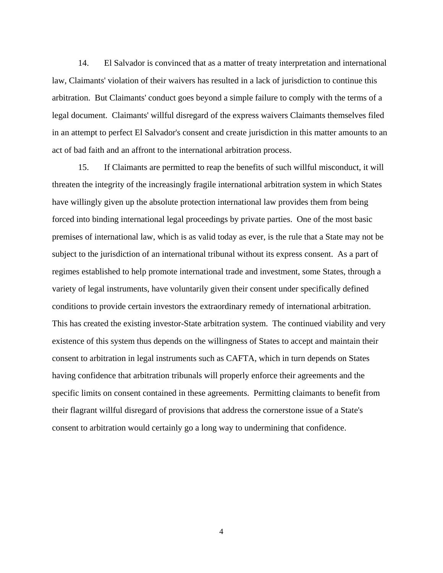14. El Salvador is convinced that as a matter of treaty interpretation and international law, Claimants' violation of their waivers has resulted in a lack of jurisdiction to continue this arbitration. But Claimants' conduct goes beyond a simple failure to comply with the terms of a legal document. Claimants' willful disregard of the express waivers Claimants themselves filed in an attempt to perfect El Salvador's consent and create jurisdiction in this matter amounts to an act of bad faith and an affront to the international arbitration process.

15. If Claimants are permitted to reap the benefits of such willful misconduct, it will threaten the integrity of the increasingly fragile international arbitration system in which States have willingly given up the absolute protection international law provides them from being forced into binding international legal proceedings by private parties. One of the most basic premises of international law, which is as valid today as ever, is the rule that a State may not be subject to the jurisdiction of an international tribunal without its express consent. As a part of regimes established to help promote international trade and investment, some States, through a variety of legal instruments, have voluntarily given their consent under specifically defined conditions to provide certain investors the extraordinary remedy of international arbitration. This has created the existing investor-State arbitration system. The continued viability and very existence of this system thus depends on the willingness of States to accept and maintain their consent to arbitration in legal instruments such as CAFTA, which in turn depends on States having confidence that arbitration tribunals will properly enforce their agreements and the specific limits on consent contained in these agreements. Permitting claimants to benefit from their flagrant willful disregard of provisions that address the cornerstone issue of a State's consent to arbitration would certainly go a long way to undermining that confidence.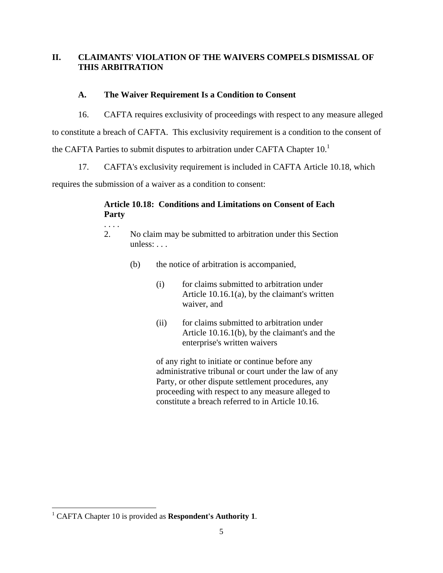# **II. CLAIMANTS' VIOLATION OF THE WAIVERS COMPELS DISMISSAL OF THIS ARBITRATION**

# **A. The Waiver Requirement Is a Condition to Consent**

16. CAFTA requires exclusivity of proceedings with respect to any measure alleged

to constitute a breach of CAFTA. This exclusivity requirement is a condition to the consent of

the CAFTA Parties to submit disputes to arbitration under CAFTA Chapter  $10<sup>1</sup>$ 

17. CAFTA's exclusivity requirement is included in CAFTA Article 10.18, which

requires the submission of a waiver as a condition to consent:

# **Article 10.18: Conditions and Limitations on Consent of Each Party**

- . . . .
- 2. No claim may be submitted to arbitration under this Section unless: . . .
	- (b) the notice of arbitration is accompanied,
		- (i) for claims submitted to arbitration under Article 10.16.1(a), by the claimant's written waiver, and
		- (ii) for claims submitted to arbitration under Article 10.16.1(b), by the claimant's and the enterprise's written waivers

of any right to initiate or continue before any administrative tribunal or court under the law of any Party, or other dispute settlement procedures, any proceeding with respect to any measure alleged to constitute a breach referred to in Article 10.16.

<sup>&</sup>lt;sup>1</sup> CAFTA Chapter 10 is provided as **Respondent's Authority 1**.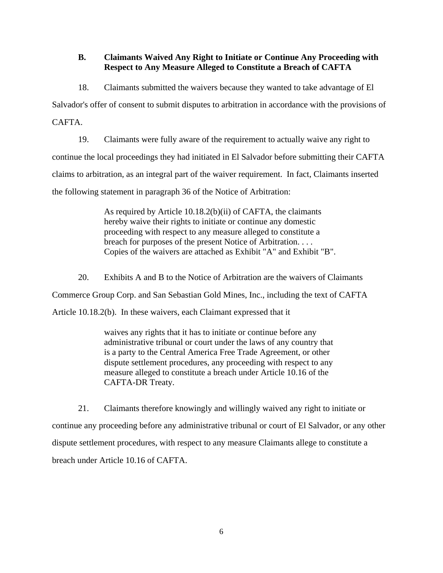# **B. Claimants Waived Any Right to Initiate or Continue Any Proceeding with Respect to Any Measure Alleged to Constitute a Breach of CAFTA**

18. Claimants submitted the waivers because they wanted to take advantage of El

Salvador's offer of consent to submit disputes to arbitration in accordance with the provisions of

CAFTA.

19. Claimants were fully aware of the requirement to actually waive any right to continue the local proceedings they had initiated in El Salvador before submitting their CAFTA claims to arbitration, as an integral part of the waiver requirement. In fact, Claimants inserted the following statement in paragraph 36 of the Notice of Arbitration:

> As required by Article 10.18.2(b)(ii) of CAFTA, the claimants hereby waive their rights to initiate or continue any domestic proceeding with respect to any measure alleged to constitute a breach for purposes of the present Notice of Arbitration. . . . Copies of the waivers are attached as Exhibit "A" and Exhibit "B".

20. Exhibits A and B to the Notice of Arbitration are the waivers of Claimants

Commerce Group Corp. and San Sebastian Gold Mines, Inc., including the text of CAFTA

Article 10.18.2(b). In these waivers, each Claimant expressed that it

waives any rights that it has to initiate or continue before any administrative tribunal or court under the laws of any country that is a party to the Central America Free Trade Agreement, or other dispute settlement procedures, any proceeding with respect to any measure alleged to constitute a breach under Article 10.16 of the CAFTA-DR Treaty.

21. Claimants therefore knowingly and willingly waived any right to initiate or continue any proceeding before any administrative tribunal or court of El Salvador, or any other dispute settlement procedures, with respect to any measure Claimants allege to constitute a breach under Article 10.16 of CAFTA.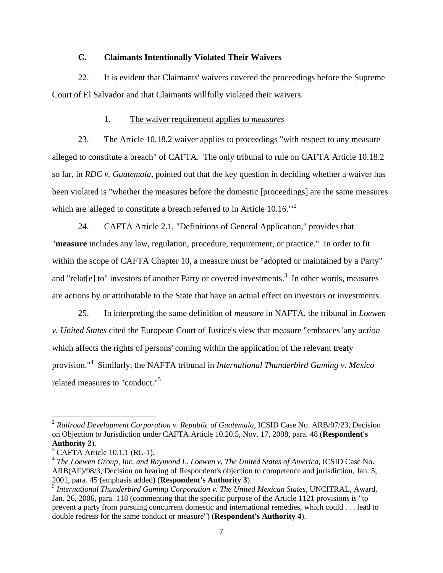### **C. Claimants Intentionally Violated Their Waivers**

22. It is evident that Claimants' waivers covered the proceedings before the Supreme Court of El Salvador and that Claimants willfully violated their waivers.

### 1. The waiver requirement applies to *measures*

23. The Article 10.18.2 waiver applies to proceedings "with respect to any measure alleged to constitute a breach" of CAFTA. The only tribunal to rule on CAFTA Article 10.18.2 so far, in *RDC v. Guatemala*, pointed out that the key question in deciding whether a waiver has been violated is "whether the measures before the domestic [proceedings] are the same measures which are 'alleged to constitute a breach referred to in Article 10.16.<sup>"2</sup>

24. CAFTA Article 2.1, "Definitions of General Application," provides that "**measure** includes any law, regulation, procedure, requirement, or practice." In order to fit within the scope of CAFTA Chapter 10, a measure must be "adopted or maintained by a Party" and "relat[e] to" investors of another Party or covered investments.<sup>3</sup> In other words, measures are actions by or attributable to the State that have an actual effect on investors or investments.

25. In interpreting the same definition of *measure* in NAFTA, the tribunal in *Loewen v. United States* cited the European Court of Justice's view that measure "embraces 'any *action* which affects the rights of persons' coming within the application of the relevant treaty provision."4 Similarly, the NAFTA tribunal in *International Thunderbird Gaming v. Mexico* related measures to "conduct."<sup>5</sup>

<sup>&</sup>lt;sup>2</sup> Railroad Development Corporation v. Republic of Guatemala, ICSID Case No. ARB/07/23, Decision on Objection to Jurisdiction under CAFTA Article 10.20.5, Nov. 17, 2008, para. 48 (**Respondent's Authority 2**).

<sup>3</sup> CAFTA Article 10.1.1 (RL-1).

<sup>4</sup> *The Loewen Group, Inc. and Raymond L. Loewen v. The United States of America*, ICSID Case No. ARB(AF)/98/3, Decision on hearing of Respondent's objection to competence and jurisdiction, Jan. 5, 2001, para. 45 (emphasis added) (**Respondent's Authority 3**).

<sup>5</sup> *International Thunderbird Gaming Corporation v. The United Mexican States*, UNCITRAL, Award, Jan. 26, 2006, para. 118 (commenting that the specific purpose of the Article 1121 provisions is "to prevent a party from pursuing concurrent domestic and international remedies, which could . . . lead to double redress for the same conduct or measure") (**Respondent's Authority 4**).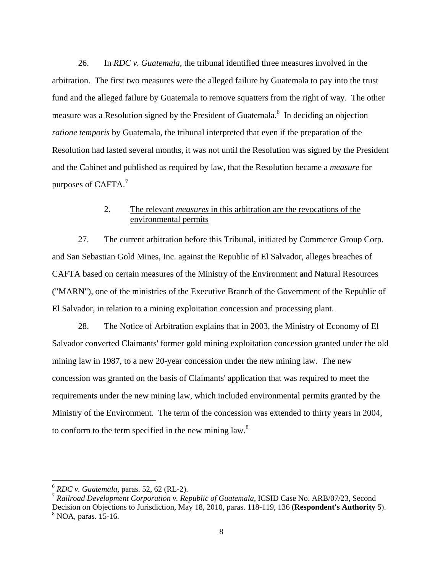26. In *RDC v. Guatemala*, the tribunal identified three measures involved in the arbitration. The first two measures were the alleged failure by Guatemala to pay into the trust fund and the alleged failure by Guatemala to remove squatters from the right of way. The other measure was a Resolution signed by the President of Guatemala.<sup>6</sup> In deciding an objection *ratione temporis* by Guatemala, the tribunal interpreted that even if the preparation of the Resolution had lasted several months, it was not until the Resolution was signed by the President and the Cabinet and published as required by law, that the Resolution became a *measure* for purposes of CAFTA.<sup>7</sup>

## 2. The relevant *measures* in this arbitration are the revocations of the environmental permits

27. The current arbitration before this Tribunal, initiated by Commerce Group Corp. and San Sebastian Gold Mines, Inc. against the Republic of El Salvador, alleges breaches of CAFTA based on certain measures of the Ministry of the Environment and Natural Resources ("MARN"), one of the ministries of the Executive Branch of the Government of the Republic of El Salvador, in relation to a mining exploitation concession and processing plant.

28. The Notice of Arbitration explains that in 2003, the Ministry of Economy of El Salvador converted Claimants' former gold mining exploitation concession granted under the old mining law in 1987, to a new 20-year concession under the new mining law. The new concession was granted on the basis of Claimants' application that was required to meet the requirements under the new mining law, which included environmental permits granted by the Ministry of the Environment. The term of the concession was extended to thirty years in 2004, to conform to the term specified in the new mining law. $8$ 

<u>.</u>

<sup>6</sup> *RDC v. Guatemala*, paras. 52, 62 (RL-2).

<sup>7</sup> *Railroad Development Corporation v. Republic of Guatemala*, ICSID Case No. ARB/07/23, Second Decision on Objections to Jurisdiction, May 18, 2010, paras. 118-119, 136 (**Respondent's Authority 5**). 8 NOA, paras. 15-16.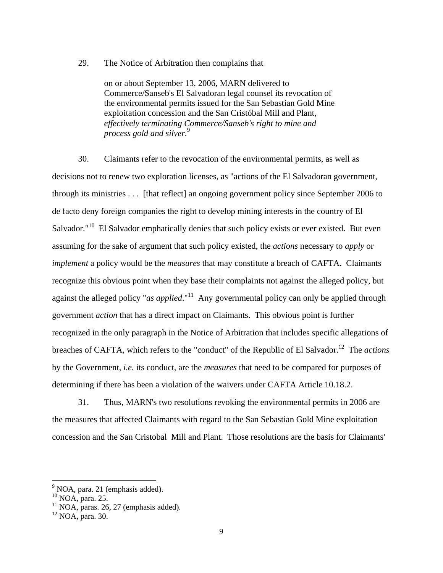29. The Notice of Arbitration then complains that

on or about September 13, 2006, MARN delivered to Commerce/Sanseb's El Salvadoran legal counsel its revocation of the environmental permits issued for the San Sebastian Gold Mine exploitation concession and the San Cristóbal Mill and Plant, *effectively terminating Commerce/Sanseb's right to mine and process gold and silver.*<sup>9</sup>

30. Claimants refer to the revocation of the environmental permits, as well as decisions not to renew two exploration licenses, as "actions of the El Salvadoran government, through its ministries . . . [that reflect] an ongoing government policy since September 2006 to de facto deny foreign companies the right to develop mining interests in the country of El Salvador."<sup>10</sup> El Salvador emphatically denies that such policy exists or ever existed. But even assuming for the sake of argument that such policy existed, the *actions* necessary to *apply* or *implement* a policy would be the *measures* that may constitute a breach of CAFTA. Claimants recognize this obvious point when they base their complaints not against the alleged policy, but against the alleged policy "*as applied*."<sup>11</sup> Any governmental policy can only be applied through government *action* that has a direct impact on Claimants. This obvious point is further recognized in the only paragraph in the Notice of Arbitration that includes specific allegations of breaches of CAFTA, which refers to the "conduct" of the Republic of El Salvador.<sup>12</sup> The *actions* by the Government, *i.e.* its conduct, are the *measures* that need to be compared for purposes of determining if there has been a violation of the waivers under CAFTA Article 10.18.2.

31. Thus, MARN's two resolutions revoking the environmental permits in 2006 are the measures that affected Claimants with regard to the San Sebastian Gold Mine exploitation concession and the San Cristobal Mill and Plant. Those resolutions are the basis for Claimants'

<sup>&</sup>lt;sup>9</sup> NOA, para. 21 (emphasis added).

 $^{10}$  NOA, para. 25.

 $11$  NOA, paras. 26, 27 (emphasis added).

<sup>12</sup> NOA, para. 30.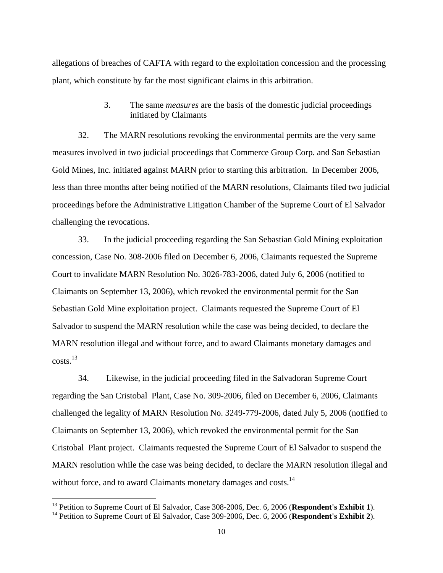allegations of breaches of CAFTA with regard to the exploitation concession and the processing plant, which constitute by far the most significant claims in this arbitration.

### 3. The same *measures* are the basis of the domestic judicial proceedings initiated by Claimants

32. The MARN resolutions revoking the environmental permits are the very same measures involved in two judicial proceedings that Commerce Group Corp. and San Sebastian Gold Mines, Inc. initiated against MARN prior to starting this arbitration. In December 2006, less than three months after being notified of the MARN resolutions, Claimants filed two judicial proceedings before the Administrative Litigation Chamber of the Supreme Court of El Salvador challenging the revocations.

33. In the judicial proceeding regarding the San Sebastian Gold Mining exploitation concession, Case No. 308-2006 filed on December 6, 2006, Claimants requested the Supreme Court to invalidate MARN Resolution No. 3026-783-2006, dated July 6, 2006 (notified to Claimants on September 13, 2006), which revoked the environmental permit for the San Sebastian Gold Mine exploitation project. Claimants requested the Supreme Court of El Salvador to suspend the MARN resolution while the case was being decided, to declare the MARN resolution illegal and without force, and to award Claimants monetary damages and costs.13

34. Likewise, in the judicial proceeding filed in the Salvadoran Supreme Court regarding the San Cristobal Plant, Case No. 309-2006, filed on December 6, 2006, Claimants challenged the legality of MARN Resolution No. 3249-779-2006, dated July 5, 2006 (notified to Claimants on September 13, 2006), which revoked the environmental permit for the San Cristobal Plant project. Claimants requested the Supreme Court of El Salvador to suspend the MARN resolution while the case was being decided, to declare the MARN resolution illegal and without force, and to award Claimants monetary damages and costs.<sup>14</sup>

<sup>&</sup>lt;sup>13</sup> Petition to Supreme Court of El Salvador, Case 308-2006, Dec. 6, 2006 (Respondent's Exhibit 1).

<sup>&</sup>lt;sup>14</sup> Petition to Supreme Court of El Salvador, Case 309-2006, Dec. 6, 2006 (Respondent's Exhibit 2).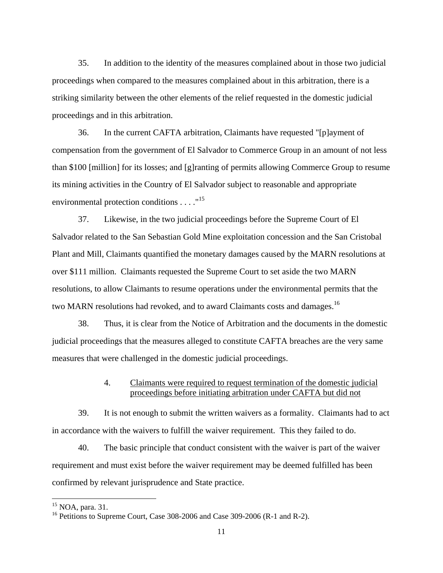35. In addition to the identity of the measures complained about in those two judicial proceedings when compared to the measures complained about in this arbitration, there is a striking similarity between the other elements of the relief requested in the domestic judicial proceedings and in this arbitration.

36. In the current CAFTA arbitration, Claimants have requested "[p]ayment of compensation from the government of El Salvador to Commerce Group in an amount of not less than \$100 [million] for its losses; and [g]ranting of permits allowing Commerce Group to resume its mining activities in the Country of El Salvador subject to reasonable and appropriate environmental protection conditions . . . ."<sup>15</sup>

37. Likewise, in the two judicial proceedings before the Supreme Court of El Salvador related to the San Sebastian Gold Mine exploitation concession and the San Cristobal Plant and Mill, Claimants quantified the monetary damages caused by the MARN resolutions at over \$111 million. Claimants requested the Supreme Court to set aside the two MARN resolutions, to allow Claimants to resume operations under the environmental permits that the two MARN resolutions had revoked, and to award Claimants costs and damages.<sup>16</sup>

38. Thus, it is clear from the Notice of Arbitration and the documents in the domestic judicial proceedings that the measures alleged to constitute CAFTA breaches are the very same measures that were challenged in the domestic judicial proceedings.

## 4. Claimants were required to request termination of the domestic judicial proceedings before initiating arbitration under CAFTA but did not

39. It is not enough to submit the written waivers as a formality. Claimants had to act in accordance with the waivers to fulfill the waiver requirement. This they failed to do.

40. The basic principle that conduct consistent with the waiver is part of the waiver requirement and must exist before the waiver requirement may be deemed fulfilled has been confirmed by relevant jurisprudence and State practice.

 $15$  NOA, para. 31.

<sup>&</sup>lt;sup>16</sup> Petitions to Supreme Court, Case 308-2006 and Case 309-2006 (R-1 and R-2).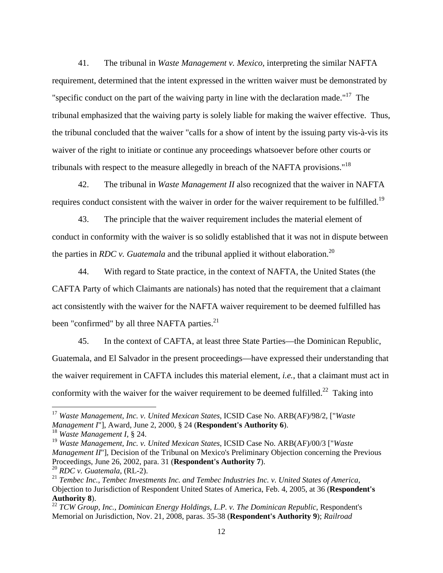41. The tribunal in *Waste Management v. Mexico*, interpreting the similar NAFTA requirement, determined that the intent expressed in the written waiver must be demonstrated by "specific conduct on the part of the waiving party in line with the declaration made."<sup>17</sup> The tribunal emphasized that the waiving party is solely liable for making the waiver effective. Thus, the tribunal concluded that the waiver "calls for a show of intent by the issuing party vis-à-vis its waiver of the right to initiate or continue any proceedings whatsoever before other courts or tribunals with respect to the measure allegedly in breach of the NAFTA provisions."<sup>18</sup>

42. The tribunal in *Waste Management II* also recognized that the waiver in NAFTA requires conduct consistent with the waiver in order for the waiver requirement to be fulfilled.<sup>19</sup>

43. The principle that the waiver requirement includes the material element of conduct in conformity with the waiver is so solidly established that it was not in dispute between the parties in *RDC v. Guatemala* and the tribunal applied it without elaboration.<sup>20</sup>

44. With regard to State practice, in the context of NAFTA, the United States (the CAFTA Party of which Claimants are nationals) has noted that the requirement that a claimant act consistently with the waiver for the NAFTA waiver requirement to be deemed fulfilled has been "confirmed" by all three NAFTA parties.<sup>21</sup>

45. In the context of CAFTA, at least three State Parties—the Dominican Republic, Guatemala, and El Salvador in the present proceedings—have expressed their understanding that the waiver requirement in CAFTA includes this material element, *i.e.*, that a claimant must act in conformity with the waiver for the waiver requirement to be deemed fulfilled.<sup>22</sup> Taking into

<sup>17</sup> *Waste Management, Inc. v. United Mexican States*, ICSID Case No. ARB(AF)/98/2, ["*Waste Management I*"], Award, June 2, 2000, § 24 (**Respondent's Authority 6**).

<sup>18</sup> *Waste Management I*, § 24.

<sup>19</sup> *Waste Management, Inc. v. United Mexican States*, ICSID Case No. ARB(AF)/00/3 ["*Waste Management II*"], Decision of the Tribunal on Mexico's Preliminary Objection concerning the Previous Proceedings, June 26, 2002, para. 31 (**Respondent's Authority 7**). <sup>20</sup> *RDC v. Guatemala*, (RL-2).

<sup>21</sup> *Tembec Inc., Tembec Investments Inc. and Tembec Industries Inc. v. United States of America*,

Objection to Jurisdiction of Respondent United States of America, Feb. 4, 2005, at 36 (**Respondent's Authority 8**).

<sup>&</sup>lt;sup>22</sup> *TCW Group, Inc., Dominican Energy Holdings, L.P. v. The Dominican Republic, Respondent's* Memorial on Jurisdiction, Nov. 21, 2008, paras. 35-38 (**Respondent's Authority 9**); *Railroad*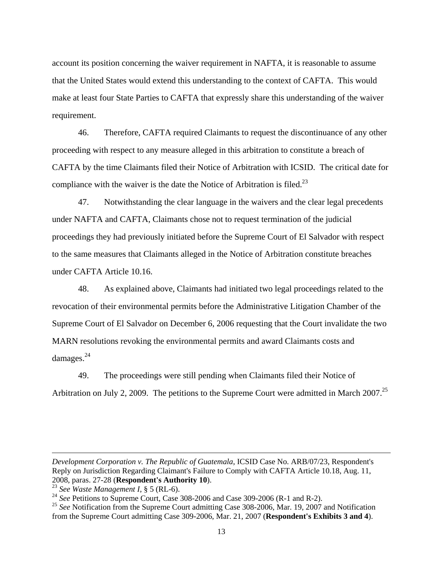account its position concerning the waiver requirement in NAFTA, it is reasonable to assume that the United States would extend this understanding to the context of CAFTA. This would make at least four State Parties to CAFTA that expressly share this understanding of the waiver requirement.

46. Therefore, CAFTA required Claimants to request the discontinuance of any other proceeding with respect to any measure alleged in this arbitration to constitute a breach of CAFTA by the time Claimants filed their Notice of Arbitration with ICSID. The critical date for compliance with the waiver is the date the Notice of Arbitration is filed.<sup>23</sup>

47. Notwithstanding the clear language in the waivers and the clear legal precedents under NAFTA and CAFTA, Claimants chose not to request termination of the judicial proceedings they had previously initiated before the Supreme Court of El Salvador with respect to the same measures that Claimants alleged in the Notice of Arbitration constitute breaches under CAFTA Article 10.16.

48. As explained above, Claimants had initiated two legal proceedings related to the revocation of their environmental permits before the Administrative Litigation Chamber of the Supreme Court of El Salvador on December 6, 2006 requesting that the Court invalidate the two MARN resolutions revoking the environmental permits and award Claimants costs and damages.<sup>24</sup>

49. The proceedings were still pending when Claimants filed their Notice of Arbitration on July 2, 2009. The petitions to the Supreme Court were admitted in March 2007.<sup>25</sup>

*Development Corporation v. The Republic of Guatemala*, ICSID Case No. ARB/07/23, Respondent's Reply on Jurisdiction Regarding Claimant's Failure to Comply with CAFTA Article 10.18, Aug. 11, 2008, paras. 27-28 (**Respondent's Authority 10**).

<sup>23</sup> *See Waste Management I*, § 5 (RL-6).

<sup>&</sup>lt;sup>24</sup> *See* Petitions to Supreme Court, Case 308-2006 and Case 309-2006 (R-1 and R-2).

<sup>&</sup>lt;sup>25</sup> See Notification from the Supreme Court admitting Case 308-2006, Mar. 19, 2007 and Notification from the Supreme Court admitting Case 309-2006, Mar. 21, 2007 (**Respondent's Exhibits 3 and 4**).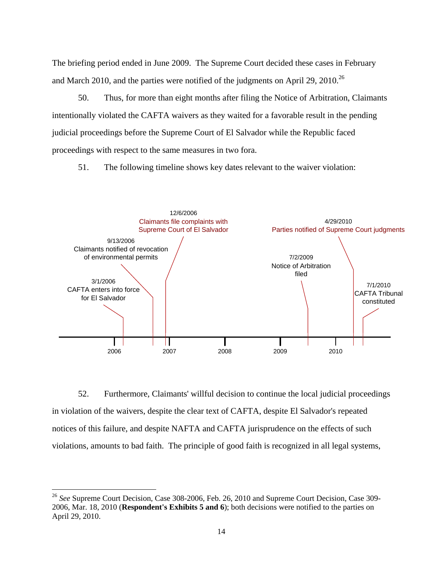The briefing period ended in June 2009. The Supreme Court decided these cases in February and March 2010, and the parties were notified of the judgments on April 29, 2010.<sup>26</sup>

50. Thus, for more than eight months after filing the Notice of Arbitration, Claimants intentionally violated the CAFTA waivers as they waited for a favorable result in the pending judicial proceedings before the Supreme Court of El Salvador while the Republic faced proceedings with respect to the same measures in two fora.

51. The following timeline shows key dates relevant to the waiver violation:



52. Furthermore, Claimants' willful decision to continue the local judicial proceedings in violation of the waivers, despite the clear text of CAFTA, despite El Salvador's repeated notices of this failure, and despite NAFTA and CAFTA jurisprudence on the effects of such violations, amounts to bad faith. The principle of good faith is recognized in all legal systems,

<sup>26</sup> *See* Supreme Court Decision, Case 308-2006, Feb. 26, 2010 and Supreme Court Decision, Case 309- 2006, Mar. 18, 2010 (**Respondent's Exhibits 5 and 6**); both decisions were notified to the parties on April 29, 2010.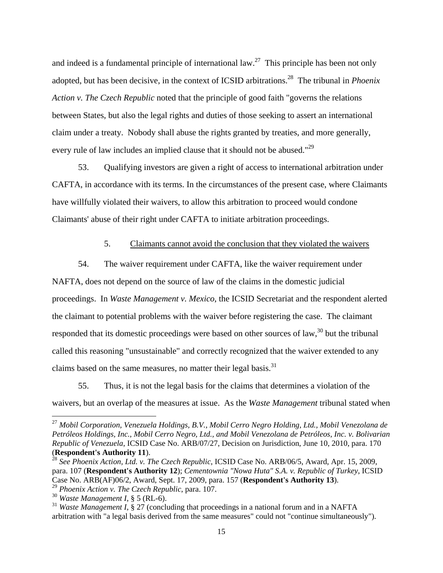and indeed is a fundamental principle of international law.<sup>27</sup> This principle has been not only adopted, but has been decisive, in the context of ICSID arbitrations.28 The tribunal in *Phoenix Action v. The Czech Republic* noted that the principle of good faith "governs the relations between States, but also the legal rights and duties of those seeking to assert an international claim under a treaty. Nobody shall abuse the rights granted by treaties, and more generally, every rule of law includes an implied clause that it should not be abused."<sup>29</sup>

53. Qualifying investors are given a right of access to international arbitration under CAFTA, in accordance with its terms. In the circumstances of the present case, where Claimants have willfully violated their waivers, to allow this arbitration to proceed would condone Claimants' abuse of their right under CAFTA to initiate arbitration proceedings.

### 5. Claimants cannot avoid the conclusion that they violated the waivers

54. The waiver requirement under CAFTA, like the waiver requirement under NAFTA, does not depend on the source of law of the claims in the domestic judicial proceedings. In *Waste Management v. Mexico*, the ICSID Secretariat and the respondent alerted the claimant to potential problems with the waiver before registering the case. The claimant responded that its domestic proceedings were based on other sources of law, $30$  but the tribunal called this reasoning "unsustainable" and correctly recognized that the waiver extended to any claims based on the same measures, no matter their legal basis. $31$ 

55. Thus, it is not the legal basis for the claims that determines a violation of the waivers, but an overlap of the measures at issue. As the *Waste Management* tribunal stated when

<sup>27</sup> *Mobil Corporation, Venezuela Holdings, B.V., Mobil Cerro Negro Holding, Ltd., Mobil Venezolana de Petróleos Holdings, Inc., Mobil Cerro Negro, Ltd., and Mobil Venezolana de Petróleos, Inc. v. Bolivarian Republic of Venezuela*, ICSID Case No. ARB/07/27, Decision on Jurisdiction, June 10, 2010, para. 170 (**Respondent's Authority 11**).

<sup>28</sup> *See Phoenix Action, Ltd. v. The Czech Republic*, ICSID Case No. ARB/06/5, Award, Apr. 15, 2009, para. 107 (**Respondent's Authority 12**); *Cementownia "Nowa Huta" S.A. v. Republic of Turkey*, ICSID Case No. ARB(AF)06/2, Award, Sept. 17, 2009, para. 157 (**Respondent's Authority 13**).

<sup>29</sup> *Phoenix Action v. The Czech Republic*, para. 107.

<sup>30</sup> *Waste Management I*, § 5 (RL-6).

<sup>&</sup>lt;sup>31</sup> *Waste Management I*, § 27 (concluding that proceedings in a national forum and in a NAFTA arbitration with "a legal basis derived from the same measures" could not "continue simultaneously").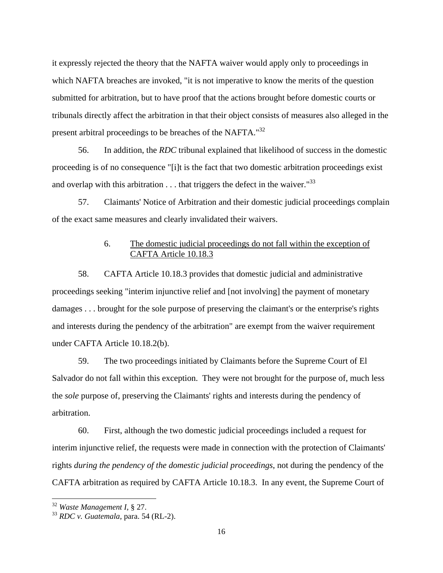it expressly rejected the theory that the NAFTA waiver would apply only to proceedings in which NAFTA breaches are invoked, "it is not imperative to know the merits of the question submitted for arbitration, but to have proof that the actions brought before domestic courts or tribunals directly affect the arbitration in that their object consists of measures also alleged in the present arbitral proceedings to be breaches of the NAFTA."<sup>32</sup>

56. In addition, the *RDC* tribunal explained that likelihood of success in the domestic proceeding is of no consequence "[i]t is the fact that two domestic arbitration proceedings exist and overlap with this arbitration  $\dots$  that triggers the defect in the waiver."<sup>33</sup>

57. Claimants' Notice of Arbitration and their domestic judicial proceedings complain of the exact same measures and clearly invalidated their waivers.

# 6. The domestic judicial proceedings do not fall within the exception of CAFTA Article 10.18.3

58. CAFTA Article 10.18.3 provides that domestic judicial and administrative proceedings seeking "interim injunctive relief and [not involving] the payment of monetary damages . . . brought for the sole purpose of preserving the claimant's or the enterprise's rights and interests during the pendency of the arbitration" are exempt from the waiver requirement under CAFTA Article 10.18.2(b).

59. The two proceedings initiated by Claimants before the Supreme Court of El Salvador do not fall within this exception. They were not brought for the purpose of, much less the *sole* purpose of, preserving the Claimants' rights and interests during the pendency of arbitration.

60. First, although the two domestic judicial proceedings included a request for interim injunctive relief, the requests were made in connection with the protection of Claimants' rights *during the pendency of the domestic judicial proceedings*, not during the pendency of the CAFTA arbitration as required by CAFTA Article 10.18.3. In any event, the Supreme Court of

<sup>32</sup> *Waste Management I*, § 27.

<sup>33</sup> *RDC v. Guatemala*, para. 54 (RL-2).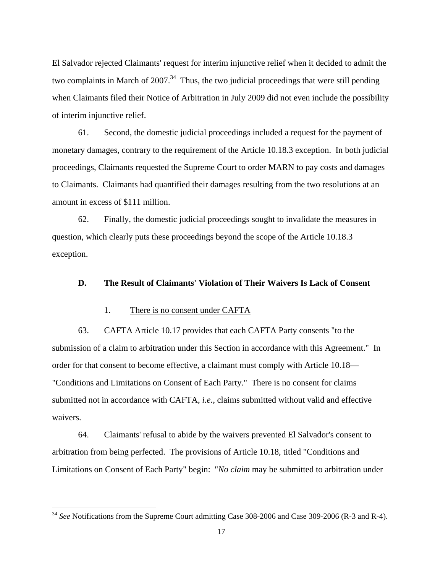El Salvador rejected Claimants' request for interim injunctive relief when it decided to admit the two complaints in March of  $2007<sup>34</sup>$ . Thus, the two judicial proceedings that were still pending when Claimants filed their Notice of Arbitration in July 2009 did not even include the possibility of interim injunctive relief.

61. Second, the domestic judicial proceedings included a request for the payment of monetary damages, contrary to the requirement of the Article 10.18.3 exception. In both judicial proceedings, Claimants requested the Supreme Court to order MARN to pay costs and damages to Claimants. Claimants had quantified their damages resulting from the two resolutions at an amount in excess of \$111 million.

62. Finally, the domestic judicial proceedings sought to invalidate the measures in question, which clearly puts these proceedings beyond the scope of the Article 10.18.3 exception.

#### **D. The Result of Claimants' Violation of Their Waivers Is Lack of Consent**

### 1. There is no consent under CAFTA

 $\overline{a}$ 

63. CAFTA Article 10.17 provides that each CAFTA Party consents "to the submission of a claim to arbitration under this Section in accordance with this Agreement." In order for that consent to become effective, a claimant must comply with Article 10.18— "Conditions and Limitations on Consent of Each Party." There is no consent for claims submitted not in accordance with CAFTA, *i.e.*, claims submitted without valid and effective waivers.

64. Claimants' refusal to abide by the waivers prevented El Salvador's consent to arbitration from being perfected. The provisions of Article 10.18, titled "Conditions and Limitations on Consent of Each Party" begin: "*No claim* may be submitted to arbitration under

<sup>&</sup>lt;sup>34</sup> See Notifications from the Supreme Court admitting Case 308-2006 and Case 309-2006 (R-3 and R-4).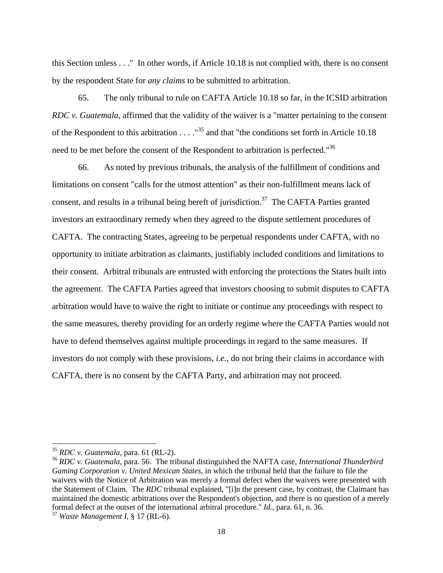this Section unless . . ." In other words, if Article 10.18 is not complied with, there is no consent by the respondent State for *any claims* to be submitted to arbitration.

65. The only tribunal to rule on CAFTA Article 10.18 so far, in the ICSID arbitration *RDC v. Guatemala,* affirmed that the validity of the waiver is a "matter pertaining to the consent of the Respondent to this arbitration  $\ldots$ ."<sup>35</sup> and that "the conditions set forth in Article 10.18 need to be met before the consent of the Respondent to arbitration is perfected."<sup>36</sup>

66. As noted by previous tribunals, the analysis of the fulfillment of conditions and limitations on consent "calls for the utmost attention" as their non-fulfillment means lack of consent, and results in a tribunal being bereft of jurisdiction.<sup>37</sup> The CAFTA Parties granted investors an extraordinary remedy when they agreed to the dispute settlement procedures of CAFTA. The contracting States, agreeing to be perpetual respondents under CAFTA, with no opportunity to initiate arbitration as claimants, justifiably included conditions and limitations to their consent. Arbitral tribunals are entrusted with enforcing the protections the States built into the agreement. The CAFTA Parties agreed that investors choosing to submit disputes to CAFTA arbitration would have to waive the right to initiate or continue any proceedings with respect to the same measures, thereby providing for an orderly regime where the CAFTA Parties would not have to defend themselves against multiple proceedings in regard to the same measures. If investors do not comply with these provisions, *i.e.*, do not bring their claims in accordance with CAFTA, there is no consent by the CAFTA Party, and arbitration may not proceed.

<sup>35</sup> *RDC v. Guatemala*, para. 61 (RL-2).

<sup>36</sup> *RDC v. Guatemala*, para. 56. The tribunal distinguished the NAFTA case, *International Thunderbird Gaming Corporation v. United Mexican States*, in which the tribunal held that the failure to file the waivers with the Notice of Arbitration was merely a formal defect when the waivers were presented with the Statement of Claim. The *RDC* tribunal explained, "[i]n the present case, by contrast, the Claimant has maintained the domestic arbitrations over the Respondent's objection, and there is no question of a merely formal defect at the outset of the international arbitral procedure." *Id.*, para. 61, n. 36.

<sup>37</sup> *Waste Management I*, § 17 (RL-6).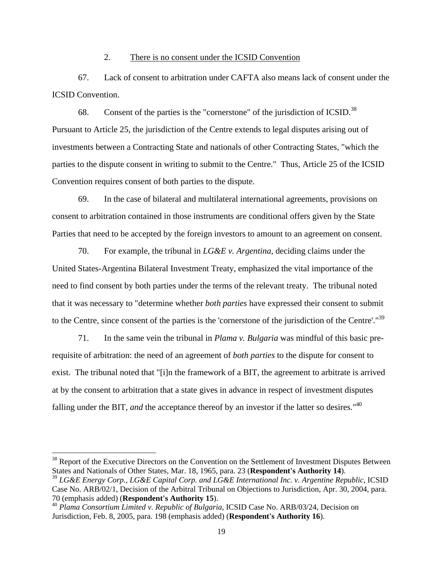### 2. There is no consent under the ICSID Convention

67. Lack of consent to arbitration under CAFTA also means lack of consent under the ICSID Convention.

68. Consent of the parties is the "cornerstone" of the jurisdiction of ICSID.<sup>38</sup> Pursuant to Article 25, the jurisdiction of the Centre extends to legal disputes arising out of investments between a Contracting State and nationals of other Contracting States, "which the parties to the dispute consent in writing to submit to the Centre." Thus, Article 25 of the ICSID Convention requires consent of both parties to the dispute.

69. In the case of bilateral and multilateral international agreements, provisions on consent to arbitration contained in those instruments are conditional offers given by the State Parties that need to be accepted by the foreign investors to amount to an agreement on consent.

70. For example, the tribunal in *LG&E v. Argentina*, deciding claims under the United States-Argentina Bilateral Investment Treaty, emphasized the vital importance of the need to find consent by both parties under the terms of the relevant treaty. The tribunal noted that it was necessary to "determine whether *both parties* have expressed their consent to submit to the Centre, since consent of the parties is the 'cornerstone of the jurisdiction of the Centre'."<sup>39</sup>

71. In the same vein the tribunal in *Plama v. Bulgaria* was mindful of this basic prerequisite of arbitration: the need of an agreement of *both parties* to the dispute for consent to exist. The tribunal noted that "[i]n the framework of a BIT, the agreement to arbitrate is arrived at by the consent to arbitration that a state gives in advance in respect of investment disputes falling under the BIT, *and* the acceptance thereof by an investor if the latter so desires."<sup>40</sup>

<sup>&</sup>lt;sup>38</sup> Report of the Executive Directors on the Convention on the Settlement of Investment Disputes Between States and Nationals of Other States, Mar. 18, 1965, para. 23 (**Respondent's Authority 14**).

<sup>39</sup> *LG&E Energy Corp., LG&E Capital Corp. and LG&E International Inc. v. Argentine Republic*, ICSID Case No. ARB/02/1, Decision of the Arbitral Tribunal on Objections to Jurisdiction, Apr. 30, 2004, para. 70 (emphasis added) (**Respondent's Authority 15**).

<sup>40</sup> *Plama Consortium Limited v. Republic of Bulgaria*, ICSID Case No. ARB/03/24, Decision on Jurisdiction, Feb. 8, 2005, para. 198 (emphasis added) (**Respondent's Authority 16**).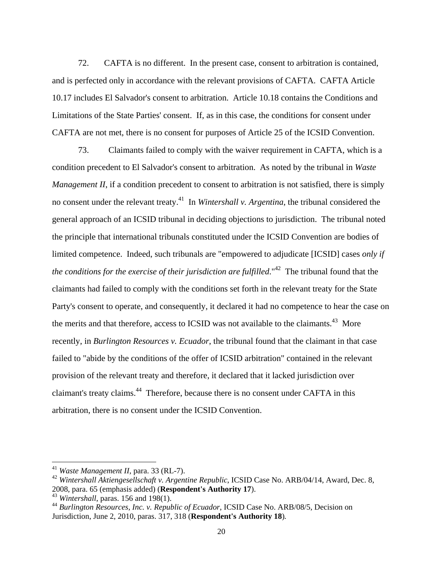72. CAFTA is no different. In the present case, consent to arbitration is contained, and is perfected only in accordance with the relevant provisions of CAFTA. CAFTA Article 10.17 includes El Salvador's consent to arbitration. Article 10.18 contains the Conditions and Limitations of the State Parties' consent. If, as in this case, the conditions for consent under CAFTA are not met, there is no consent for purposes of Article 25 of the ICSID Convention.

73. Claimants failed to comply with the waiver requirement in CAFTA, which is a condition precedent to El Salvador's consent to arbitration. As noted by the tribunal in *Waste Management II*, if a condition precedent to consent to arbitration is not satisfied, there is simply no consent under the relevant treaty.41 In *Wintershall v. Argentina*, the tribunal considered the general approach of an ICSID tribunal in deciding objections to jurisdiction. The tribunal noted the principle that international tribunals constituted under the ICSID Convention are bodies of limited competence. Indeed, such tribunals are "empowered to adjudicate [ICSID] cases *only if the conditions for the exercise of their jurisdiction are fulfilled.*"<sup>42</sup> The tribunal found that the claimants had failed to comply with the conditions set forth in the relevant treaty for the State Party's consent to operate, and consequently, it declared it had no competence to hear the case on the merits and that therefore, access to ICSID was not available to the claimants.<sup>43</sup> More recently, in *Burlington Resources v. Ecuador*, the tribunal found that the claimant in that case failed to "abide by the conditions of the offer of ICSID arbitration" contained in the relevant provision of the relevant treaty and therefore, it declared that it lacked jurisdiction over claimant's treaty claims.44 Therefore, because there is no consent under CAFTA in this arbitration, there is no consent under the ICSID Convention.

<sup>41</sup> *Waste Management II*, para. 33 (RL-7).

<sup>42</sup> *Wintershall Aktiengesellschaft v. Argentine Republic*, ICSID Case No. ARB/04/14, Award, Dec. 8, 2008, para. 65 (emphasis added) (**Respondent's Authority 17**).

<sup>43</sup> *Wintershall*, paras. 156 and 198(1).

<sup>44</sup> *Burlington Resources, Inc. v. Republic of Ecuador*, ICSID Case No. ARB/08/5, Decision on Jurisdiction, June 2, 2010, paras. 317, 318 (**Respondent's Authority 18**)*.*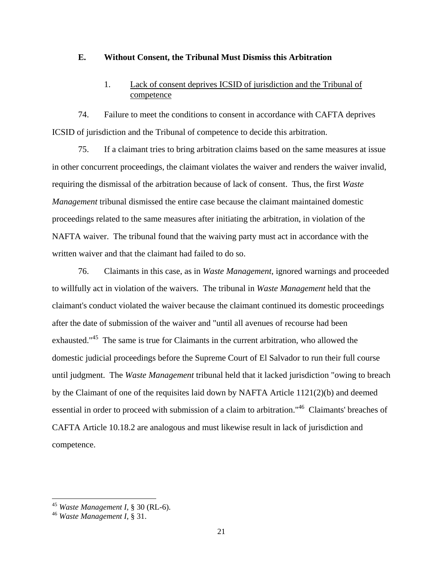### **E. Without Consent, the Tribunal Must Dismiss this Arbitration**

# 1. Lack of consent deprives ICSID of jurisdiction and the Tribunal of competence

74. Failure to meet the conditions to consent in accordance with CAFTA deprives ICSID of jurisdiction and the Tribunal of competence to decide this arbitration.

75. If a claimant tries to bring arbitration claims based on the same measures at issue in other concurrent proceedings, the claimant violates the waiver and renders the waiver invalid, requiring the dismissal of the arbitration because of lack of consent. Thus, the first *Waste Management* tribunal dismissed the entire case because the claimant maintained domestic proceedings related to the same measures after initiating the arbitration, in violation of the NAFTA waiver. The tribunal found that the waiving party must act in accordance with the written waiver and that the claimant had failed to do so.

76. Claimants in this case, as in *Waste Management*, ignored warnings and proceeded to willfully act in violation of the waivers. The tribunal in *Waste Management* held that the claimant's conduct violated the waiver because the claimant continued its domestic proceedings after the date of submission of the waiver and "until all avenues of recourse had been exhausted."45 The same is true for Claimants in the current arbitration, who allowed the domestic judicial proceedings before the Supreme Court of El Salvador to run their full course until judgment. The *Waste Management* tribunal held that it lacked jurisdiction "owing to breach by the Claimant of one of the requisites laid down by NAFTA Article 1121(2)(b) and deemed essential in order to proceed with submission of a claim to arbitration."46 Claimants' breaches of CAFTA Article 10.18.2 are analogous and must likewise result in lack of jurisdiction and competence.

<sup>45</sup> *Waste Management I*, § 30 (RL-6).

<sup>46</sup> *Waste Management I*, § 31.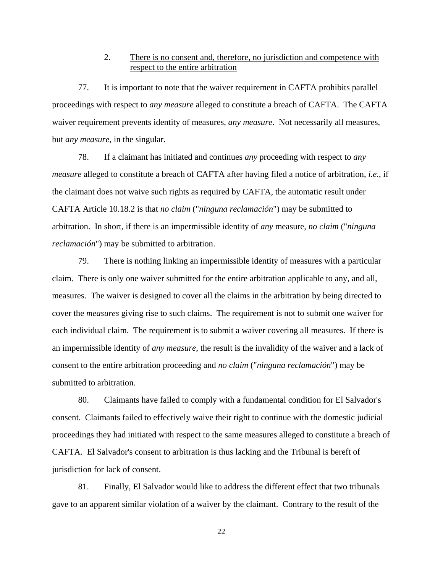## 2. There is no consent and, therefore, no jurisdiction and competence with respect to the entire arbitration

77. It is important to note that the waiver requirement in CAFTA prohibits parallel proceedings with respect to *any measure* alleged to constitute a breach of CAFTA. The CAFTA waiver requirement prevents identity of measures, *any measure*. Not necessarily all measures, but *any measure*, in the singular.

78. If a claimant has initiated and continues *any* proceeding with respect to *any measure* alleged to constitute a breach of CAFTA after having filed a notice of arbitration, *i.e.*, if the claimant does not waive such rights as required by CAFTA, the automatic result under CAFTA Article 10.18.2 is that *no claim* ("*ninguna reclamación*") may be submitted to arbitration. In short, if there is an impermissible identity of *any* measure, *no claim* ("*ninguna reclamación*") may be submitted to arbitration.

79. There is nothing linking an impermissible identity of measures with a particular claim. There is only one waiver submitted for the entire arbitration applicable to any, and all, measures. The waiver is designed to cover all the claims in the arbitration by being directed to cover the *measures* giving rise to such claims. The requirement is not to submit one waiver for each individual claim. The requirement is to submit a waiver covering all measures. If there is an impermissible identity of *any measure*, the result is the invalidity of the waiver and a lack of consent to the entire arbitration proceeding and *no claim* ("*ninguna reclamación*") may be submitted to arbitration.

80. Claimants have failed to comply with a fundamental condition for El Salvador's consent. Claimants failed to effectively waive their right to continue with the domestic judicial proceedings they had initiated with respect to the same measures alleged to constitute a breach of CAFTA. El Salvador's consent to arbitration is thus lacking and the Tribunal is bereft of jurisdiction for lack of consent.

81. Finally, El Salvador would like to address the different effect that two tribunals gave to an apparent similar violation of a waiver by the claimant. Contrary to the result of the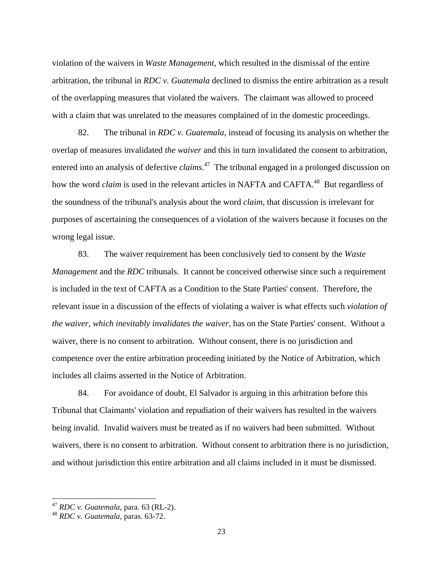violation of the waivers in *Waste Management,* which resulted in the dismissal of the entire arbitration, the tribunal in *RDC v. Guatemala* declined to dismiss the entire arbitration as a result of the overlapping measures that violated the waivers. The claimant was allowed to proceed with a claim that was unrelated to the measures complained of in the domestic proceedings.

82. The tribunal in *RDC v. Guatemala*, instead of focusing its analysis on whether the overlap of measures invalidated *the waiver* and this in turn invalidated the consent to arbitration, entered into an analysis of defective *claims*. 47 The tribunal engaged in a prolonged discussion on how the word *claim* is used in the relevant articles in NAFTA and CAFTA.<sup>48</sup> But regardless of the soundness of the tribunal's analysis about the word *claim*, that discussion is irrelevant for purposes of ascertaining the consequences of a violation of the waivers because it focuses on the wrong legal issue.

83. The waiver requirement has been conclusively tied to consent by the *Waste Management* and the *RDC* tribunals. It cannot be conceived otherwise since such a requirement is included in the text of CAFTA as a Condition to the State Parties' consent. Therefore, the relevant issue in a discussion of the effects of violating a waiver is what effects such *violation of the waiver, which inevitably invalidates the waiver*, has on the State Parties' consent. Without a waiver, there is no consent to arbitration. Without consent, there is no jurisdiction and competence over the entire arbitration proceeding initiated by the Notice of Arbitration, which includes all claims asserted in the Notice of Arbitration.

84. For avoidance of doubt, El Salvador is arguing in this arbitration before this Tribunal that Claimants' violation and repudiation of their waivers has resulted in the waivers being invalid*.* Invalid waivers must be treated as if no waivers had been submitted. Without waivers, there is no consent to arbitration. Without consent to arbitration there is no jurisdiction, and without jurisdiction this entire arbitration and all claims included in it must be dismissed.

<sup>47</sup> *RDC v. Guatemala*, para. 63 (RL-2).

<sup>48</sup> *RDC v. Guatemala*, paras. 63-72.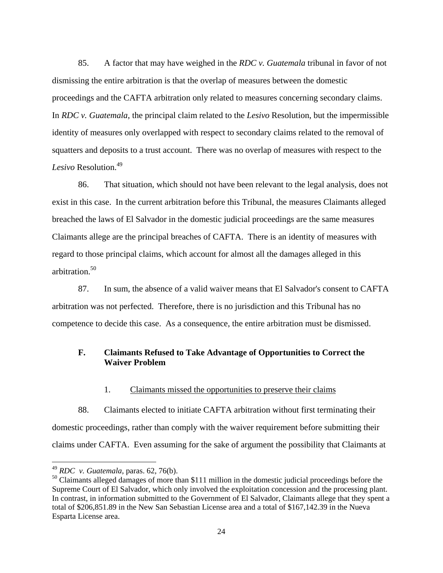85. A factor that may have weighed in the *RDC v. Guatemala* tribunal in favor of not dismissing the entire arbitration is that the overlap of measures between the domestic proceedings and the CAFTA arbitration only related to measures concerning secondary claims. In *RDC v. Guatemala*, the principal claim related to the *Lesivo* Resolution, but the impermissible identity of measures only overlapped with respect to secondary claims related to the removal of squatters and deposits to a trust account. There was no overlap of measures with respect to the Lesivo Resolution.<sup>49</sup>

86. That situation, which should not have been relevant to the legal analysis, does not exist in this case. In the current arbitration before this Tribunal, the measures Claimants alleged breached the laws of El Salvador in the domestic judicial proceedings are the same measures Claimants allege are the principal breaches of CAFTA. There is an identity of measures with regard to those principal claims, which account for almost all the damages alleged in this arbitration.<sup>50</sup>

87. In sum, the absence of a valid waiver means that El Salvador's consent to CAFTA arbitration was not perfected. Therefore, there is no jurisdiction and this Tribunal has no competence to decide this case. As a consequence, the entire arbitration must be dismissed.

## **F. Claimants Refused to Take Advantage of Opportunities to Correct the Waiver Problem**

1. Claimants missed the opportunities to preserve their claims

88. Claimants elected to initiate CAFTA arbitration without first terminating their domestic proceedings, rather than comply with the waiver requirement before submitting their claims under CAFTA. Even assuming for the sake of argument the possibility that Claimants at

<sup>49</sup> *RDC v. Guatemala*, paras. 62, 76(b).

<sup>&</sup>lt;sup>50</sup> Claimants alleged damages of more than \$111 million in the domestic judicial proceedings before the Supreme Court of El Salvador, which only involved the exploitation concession and the processing plant. In contrast, in information submitted to the Government of El Salvador, Claimants allege that they spent a total of \$206,851.89 in the New San Sebastian License area and a total of \$167,142.39 in the Nueva Esparta License area.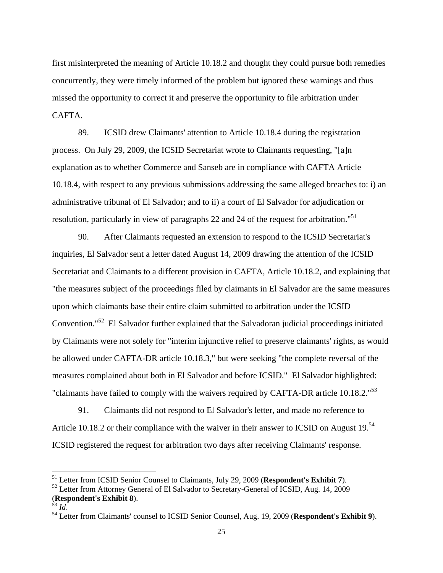first misinterpreted the meaning of Article 10.18.2 and thought they could pursue both remedies concurrently, they were timely informed of the problem but ignored these warnings and thus missed the opportunity to correct it and preserve the opportunity to file arbitration under CAFTA.

89. ICSID drew Claimants' attention to Article 10.18.4 during the registration process. On July 29, 2009, the ICSID Secretariat wrote to Claimants requesting, "[a]n explanation as to whether Commerce and Sanseb are in compliance with CAFTA Article 10.18.4, with respect to any previous submissions addressing the same alleged breaches to: i) an administrative tribunal of El Salvador; and to ii) a court of El Salvador for adjudication or resolution, particularly in view of paragraphs 22 and 24 of the request for arbitration."<sup>51</sup>

90. After Claimants requested an extension to respond to the ICSID Secretariat's inquiries, El Salvador sent a letter dated August 14, 2009 drawing the attention of the ICSID Secretariat and Claimants to a different provision in CAFTA, Article 10.18.2, and explaining that "the measures subject of the proceedings filed by claimants in El Salvador are the same measures upon which claimants base their entire claim submitted to arbitration under the ICSID Convention."52 El Salvador further explained that the Salvadoran judicial proceedings initiated by Claimants were not solely for "interim injunctive relief to preserve claimants' rights, as would be allowed under CAFTA-DR article 10.18.3," but were seeking "the complete reversal of the measures complained about both in El Salvador and before ICSID." El Salvador highlighted: "claimants have failed to comply with the waivers required by CAFTA-DR article 10.18.2."<sup>53</sup>

91. Claimants did not respond to El Salvador's letter, and made no reference to Article 10.18.2 or their compliance with the waiver in their answer to ICSID on August 19.<sup>54</sup> ICSID registered the request for arbitration two days after receiving Claimants' response.

<u>.</u>

<sup>51</sup> Letter from ICSID Senior Counsel to Claimants, July 29, 2009 (**Respondent's Exhibit 7**).

<sup>&</sup>lt;sup>52</sup> Letter from Attorney General of El Salvador to Secretary-General of ICSID, Aug. 14, 2009 (**Respondent's Exhibit 8**).

<sup>&</sup>lt;sup>54</sup> Letter from Claimants' counsel to ICSID Senior Counsel, Aug. 19, 2009 (Respondent's Exhibit 9).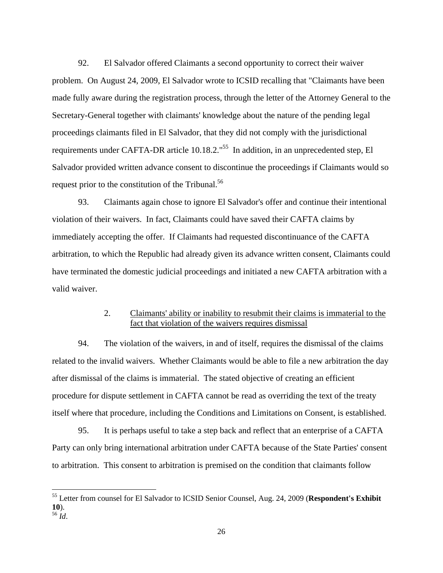92. El Salvador offered Claimants a second opportunity to correct their waiver problem. On August 24, 2009, El Salvador wrote to ICSID recalling that "Claimants have been made fully aware during the registration process, through the letter of the Attorney General to the Secretary-General together with claimants' knowledge about the nature of the pending legal proceedings claimants filed in El Salvador, that they did not comply with the jurisdictional requirements under CAFTA-DR article 10.18.2."<sup>55</sup> In addition, in an unprecedented step, El Salvador provided written advance consent to discontinue the proceedings if Claimants would so request prior to the constitution of the Tribunal.<sup>56</sup>

93. Claimants again chose to ignore El Salvador's offer and continue their intentional violation of their waivers. In fact, Claimants could have saved their CAFTA claims by immediately accepting the offer. If Claimants had requested discontinuance of the CAFTA arbitration, to which the Republic had already given its advance written consent, Claimants could have terminated the domestic judicial proceedings and initiated a new CAFTA arbitration with a valid waiver.

# 2. Claimants' ability or inability to resubmit their claims is immaterial to the fact that violation of the waivers requires dismissal

94. The violation of the waivers, in and of itself, requires the dismissal of the claims related to the invalid waivers. Whether Claimants would be able to file a new arbitration the day after dismissal of the claims is immaterial. The stated objective of creating an efficient procedure for dispute settlement in CAFTA cannot be read as overriding the text of the treaty itself where that procedure, including the Conditions and Limitations on Consent, is established.

95. It is perhaps useful to take a step back and reflect that an enterprise of a CAFTA Party can only bring international arbitration under CAFTA because of the State Parties' consent to arbitration. This consent to arbitration is premised on the condition that claimants follow

<sup>55</sup> Letter from counsel for El Salvador to ICSID Senior Counsel, Aug. 24, 2009 (**Respondent's Exhibit 10**). <sup>56</sup> *Id*.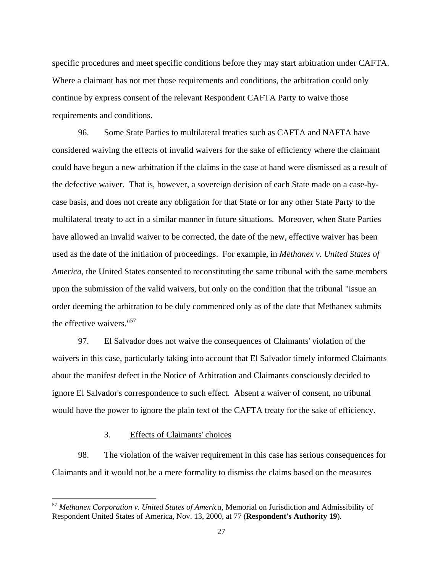specific procedures and meet specific conditions before they may start arbitration under CAFTA. Where a claimant has not met those requirements and conditions, the arbitration could only continue by express consent of the relevant Respondent CAFTA Party to waive those requirements and conditions.

96. Some State Parties to multilateral treaties such as CAFTA and NAFTA have considered waiving the effects of invalid waivers for the sake of efficiency where the claimant could have begun a new arbitration if the claims in the case at hand were dismissed as a result of the defective waiver. That is, however, a sovereign decision of each State made on a case-bycase basis, and does not create any obligation for that State or for any other State Party to the multilateral treaty to act in a similar manner in future situations. Moreover, when State Parties have allowed an invalid waiver to be corrected, the date of the new, effective waiver has been used as the date of the initiation of proceedings. For example, in *Methanex v. United States of America*, the United States consented to reconstituting the same tribunal with the same members upon the submission of the valid waivers, but only on the condition that the tribunal "issue an order deeming the arbitration to be duly commenced only as of the date that Methanex submits the effective waivers."<sup>57</sup>

97. El Salvador does not waive the consequences of Claimants' violation of the waivers in this case, particularly taking into account that El Salvador timely informed Claimants about the manifest defect in the Notice of Arbitration and Claimants consciously decided to ignore El Salvador's correspondence to such effect. Absent a waiver of consent, no tribunal would have the power to ignore the plain text of the CAFTA treaty for the sake of efficiency.

# 3. Effects of Claimants' choices

 $\overline{a}$ 

98. The violation of the waiver requirement in this case has serious consequences for Claimants and it would not be a mere formality to dismiss the claims based on the measures

<sup>57</sup> *Methanex Corporation v. United States of America*, Memorial on Jurisdiction and Admissibility of Respondent United States of America, Nov. 13, 2000, at 77 (**Respondent's Authority 19**).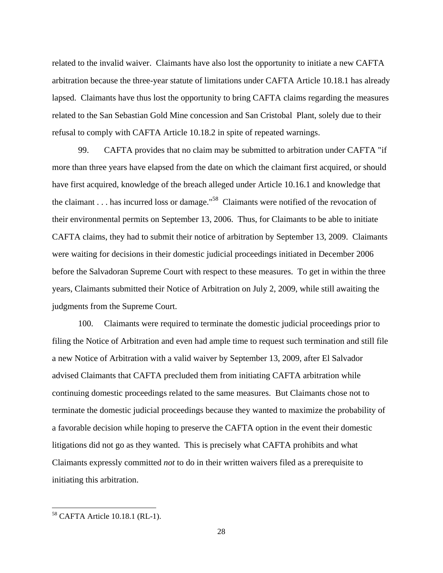related to the invalid waiver. Claimants have also lost the opportunity to initiate a new CAFTA arbitration because the three-year statute of limitations under CAFTA Article 10.18.1 has already lapsed. Claimants have thus lost the opportunity to bring CAFTA claims regarding the measures related to the San Sebastian Gold Mine concession and San Cristobal Plant, solely due to their refusal to comply with CAFTA Article 10.18.2 in spite of repeated warnings.

99. CAFTA provides that no claim may be submitted to arbitration under CAFTA "if more than three years have elapsed from the date on which the claimant first acquired, or should have first acquired, knowledge of the breach alleged under Article 10.16.1 and knowledge that the claimant . . . has incurred loss or damage."<sup>58</sup> Claimants were notified of the revocation of their environmental permits on September 13, 2006. Thus, for Claimants to be able to initiate CAFTA claims, they had to submit their notice of arbitration by September 13, 2009. Claimants were waiting for decisions in their domestic judicial proceedings initiated in December 2006 before the Salvadoran Supreme Court with respect to these measures. To get in within the three years, Claimants submitted their Notice of Arbitration on July 2, 2009, while still awaiting the judgments from the Supreme Court.

100. Claimants were required to terminate the domestic judicial proceedings prior to filing the Notice of Arbitration and even had ample time to request such termination and still file a new Notice of Arbitration with a valid waiver by September 13, 2009, after El Salvador advised Claimants that CAFTA precluded them from initiating CAFTA arbitration while continuing domestic proceedings related to the same measures. But Claimants chose not to terminate the domestic judicial proceedings because they wanted to maximize the probability of a favorable decision while hoping to preserve the CAFTA option in the event their domestic litigations did not go as they wanted. This is precisely what CAFTA prohibits and what Claimants expressly committed *not* to do in their written waivers filed as a prerequisite to initiating this arbitration.

<sup>58</sup> CAFTA Article 10.18.1 (RL-1).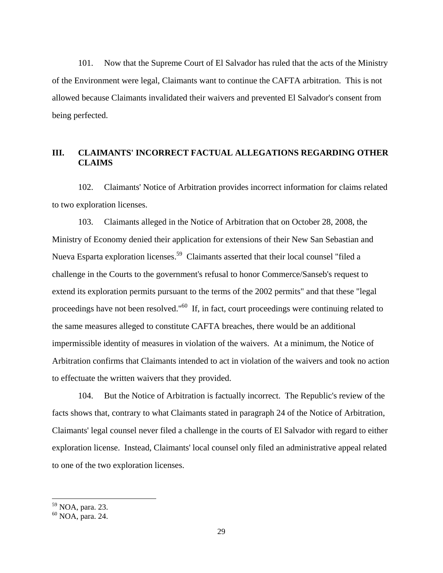101. Now that the Supreme Court of El Salvador has ruled that the acts of the Ministry of the Environment were legal, Claimants want to continue the CAFTA arbitration. This is not allowed because Claimants invalidated their waivers and prevented El Salvador's consent from being perfected.

# **III. CLAIMANTS' INCORRECT FACTUAL ALLEGATIONS REGARDING OTHER CLAIMS**

102. Claimants' Notice of Arbitration provides incorrect information for claims related to two exploration licenses.

103. Claimants alleged in the Notice of Arbitration that on October 28, 2008, the Ministry of Economy denied their application for extensions of their New San Sebastian and Nueva Esparta exploration licenses.<sup>59</sup> Claimants asserted that their local counsel "filed a challenge in the Courts to the government's refusal to honor Commerce/Sanseb's request to extend its exploration permits pursuant to the terms of the 2002 permits" and that these "legal proceedings have not been resolved."60 If, in fact, court proceedings were continuing related to the same measures alleged to constitute CAFTA breaches, there would be an additional impermissible identity of measures in violation of the waivers. At a minimum, the Notice of Arbitration confirms that Claimants intended to act in violation of the waivers and took no action to effectuate the written waivers that they provided.

104. But the Notice of Arbitration is factually incorrect. The Republic's review of the facts shows that, contrary to what Claimants stated in paragraph 24 of the Notice of Arbitration, Claimants' legal counsel never filed a challenge in the courts of El Salvador with regard to either exploration license. Instead, Claimants' local counsel only filed an administrative appeal related to one of the two exploration licenses.

<sup>59</sup> NOA, para. 23.

<sup>60</sup> NOA, para. 24.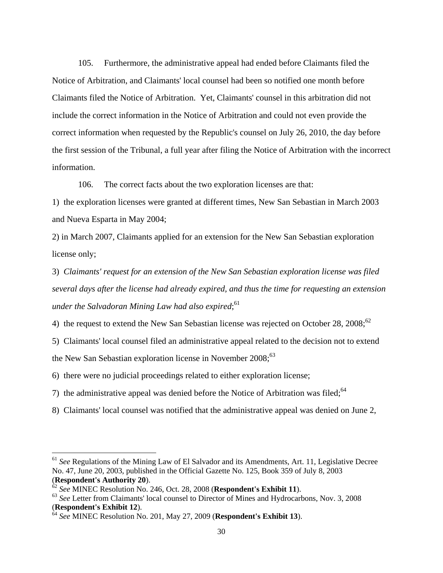105. Furthermore, the administrative appeal had ended before Claimants filed the Notice of Arbitration, and Claimants' local counsel had been so notified one month before Claimants filed the Notice of Arbitration. Yet, Claimants' counsel in this arbitration did not include the correct information in the Notice of Arbitration and could not even provide the correct information when requested by the Republic's counsel on July 26, 2010, the day before the first session of the Tribunal, a full year after filing the Notice of Arbitration with the incorrect information.

106. The correct facts about the two exploration licenses are that:

1) the exploration licenses were granted at different times, New San Sebastian in March 2003 and Nueva Esparta in May 2004;

2) in March 2007, Claimants applied for an extension for the New San Sebastian exploration license only;

3) *Claimants' request for an extension of the New San Sebastian exploration license was filed several days after the license had already expired, and thus the time for requesting an extension under the Salvadoran Mining Law had also expired*; 61

4) the request to extend the New San Sebastian license was rejected on October 28,  $2008$ ;<sup>62</sup>

5) Claimants' local counsel filed an administrative appeal related to the decision not to extend the New San Sebastian exploration license in November  $2008$ ;  $63$ 

6) there were no judicial proceedings related to either exploration license;

7) the administrative appeal was denied before the Notice of Arbitration was filed;<sup>64</sup>

8) Claimants' local counsel was notified that the administrative appeal was denied on June 2,

<sup>61</sup> *See* Regulations of the Mining Law of El Salvador and its Amendments, Art. 11, Legislative Decree No. 47, June 20, 2003, published in the Official Gazette No. 125, Book 359 of July 8, 2003 (**Respondent's Authority 20**).

<sup>62</sup> *See* MINEC Resolution No. 246, Oct. 28, 2008 (**Respondent's Exhibit 11**).

<sup>&</sup>lt;sup>63</sup> See Letter from Claimants' local counsel to Director of Mines and Hydrocarbons, Nov. 3, 2008 (**Respondent's Exhibit 12**).

<sup>64</sup> *See* MINEC Resolution No. 201, May 27, 2009 (**Respondent's Exhibit 13**).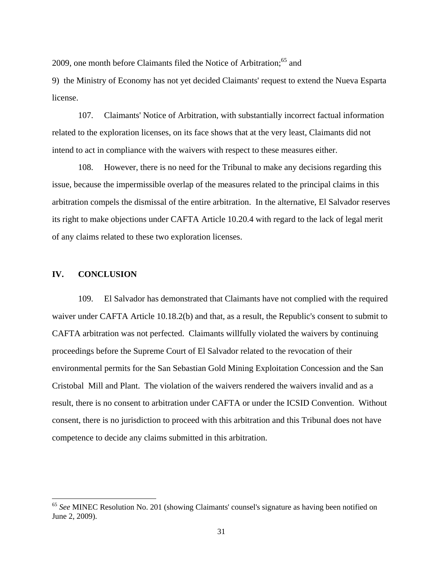2009, one month before Claimants filed the Notice of Arbitration;<sup>65</sup> and

9) the Ministry of Economy has not yet decided Claimants' request to extend the Nueva Esparta license.

107. Claimants' Notice of Arbitration, with substantially incorrect factual information related to the exploration licenses, on its face shows that at the very least, Claimants did not intend to act in compliance with the waivers with respect to these measures either.

108. However, there is no need for the Tribunal to make any decisions regarding this issue, because the impermissible overlap of the measures related to the principal claims in this arbitration compels the dismissal of the entire arbitration. In the alternative, El Salvador reserves its right to make objections under CAFTA Article 10.20.4 with regard to the lack of legal merit of any claims related to these two exploration licenses.

### **IV. CONCLUSION**

 $\overline{a}$ 

109. El Salvador has demonstrated that Claimants have not complied with the required waiver under CAFTA Article 10.18.2(b) and that, as a result, the Republic's consent to submit to CAFTA arbitration was not perfected. Claimants willfully violated the waivers by continuing proceedings before the Supreme Court of El Salvador related to the revocation of their environmental permits for the San Sebastian Gold Mining Exploitation Concession and the San Cristobal Mill and Plant. The violation of the waivers rendered the waivers invalid and as a result, there is no consent to arbitration under CAFTA or under the ICSID Convention. Without consent, there is no jurisdiction to proceed with this arbitration and this Tribunal does not have competence to decide any claims submitted in this arbitration.

<sup>65</sup> *See* MINEC Resolution No. 201 (showing Claimants' counsel's signature as having been notified on June 2, 2009).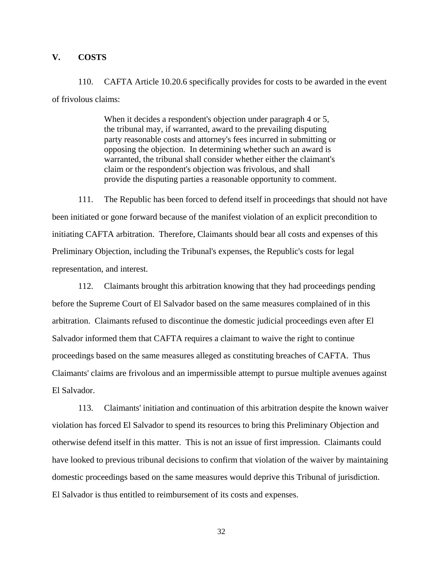### **V. COSTS**

110. CAFTA Article 10.20.6 specifically provides for costs to be awarded in the event of frivolous claims:

> When it decides a respondent's objection under paragraph 4 or 5, the tribunal may, if warranted, award to the prevailing disputing party reasonable costs and attorney's fees incurred in submitting or opposing the objection. In determining whether such an award is warranted, the tribunal shall consider whether either the claimant's claim or the respondent's objection was frivolous, and shall provide the disputing parties a reasonable opportunity to comment.

111. The Republic has been forced to defend itself in proceedings that should not have been initiated or gone forward because of the manifest violation of an explicit precondition to initiating CAFTA arbitration. Therefore, Claimants should bear all costs and expenses of this Preliminary Objection, including the Tribunal's expenses, the Republic's costs for legal representation, and interest.

112. Claimants brought this arbitration knowing that they had proceedings pending before the Supreme Court of El Salvador based on the same measures complained of in this arbitration. Claimants refused to discontinue the domestic judicial proceedings even after El Salvador informed them that CAFTA requires a claimant to waive the right to continue proceedings based on the same measures alleged as constituting breaches of CAFTA. Thus Claimants' claims are frivolous and an impermissible attempt to pursue multiple avenues against El Salvador.

113. Claimants' initiation and continuation of this arbitration despite the known waiver violation has forced El Salvador to spend its resources to bring this Preliminary Objection and otherwise defend itself in this matter. This is not an issue of first impression. Claimants could have looked to previous tribunal decisions to confirm that violation of the waiver by maintaining domestic proceedings based on the same measures would deprive this Tribunal of jurisdiction. El Salvador is thus entitled to reimbursement of its costs and expenses.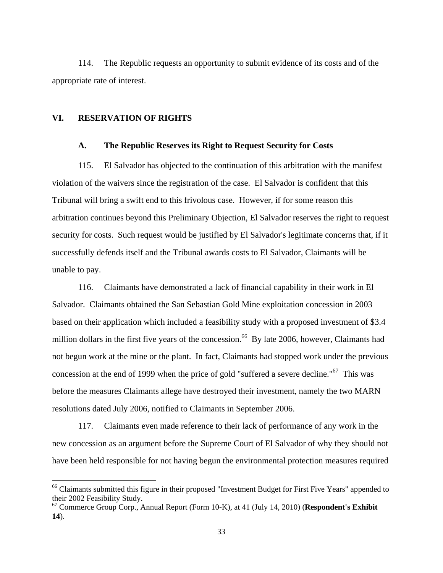114. The Republic requests an opportunity to submit evidence of its costs and of the appropriate rate of interest.

#### **VI. RESERVATION OF RIGHTS**

<u>.</u>

#### **A. The Republic Reserves its Right to Request Security for Costs**

115. El Salvador has objected to the continuation of this arbitration with the manifest violation of the waivers since the registration of the case. El Salvador is confident that this Tribunal will bring a swift end to this frivolous case. However, if for some reason this arbitration continues beyond this Preliminary Objection, El Salvador reserves the right to request security for costs. Such request would be justified by El Salvador's legitimate concerns that, if it successfully defends itself and the Tribunal awards costs to El Salvador, Claimants will be unable to pay.

116. Claimants have demonstrated a lack of financial capability in their work in El Salvador. Claimants obtained the San Sebastian Gold Mine exploitation concession in 2003 based on their application which included a feasibility study with a proposed investment of \$3.4 million dollars in the first five years of the concession.<sup>66</sup> By late 2006, however, Claimants had not begun work at the mine or the plant. In fact, Claimants had stopped work under the previous concession at the end of 1999 when the price of gold "suffered a severe decline."67 This was before the measures Claimants allege have destroyed their investment, namely the two MARN resolutions dated July 2006, notified to Claimants in September 2006.

117. Claimants even made reference to their lack of performance of any work in the new concession as an argument before the Supreme Court of El Salvador of why they should not have been held responsible for not having begun the environmental protection measures required

<sup>&</sup>lt;sup>66</sup> Claimants submitted this figure in their proposed "Investment Budget for First Five Years" appended to their 2002 Feasibility Study.

<sup>67</sup> Commerce Group Corp., Annual Report (Form 10-K), at 41 (July 14, 2010) (**Respondent's Exhibit 14**).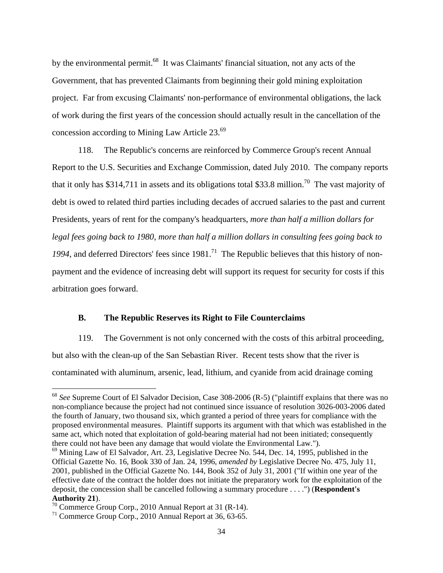by the environmental permit.<sup>68</sup> It was Claimants' financial situation, not any acts of the Government, that has prevented Claimants from beginning their gold mining exploitation project. Far from excusing Claimants' non-performance of environmental obligations, the lack of work during the first years of the concession should actually result in the cancellation of the concession according to Mining Law Article 23.69

118. The Republic's concerns are reinforced by Commerce Group's recent Annual Report to the U.S. Securities and Exchange Commission, dated July 2010. The company reports that it only has \$314,711 in assets and its obligations total \$33.8 million.<sup>70</sup> The vast majority of debt is owed to related third parties including decades of accrued salaries to the past and current Presidents, years of rent for the company's headquarters, *more than half a million dollars for legal fees going back to 1980*, *more than half a million dollars in consulting fees going back to*  1994, and deferred Directors' fees since 1981.<sup>71</sup> The Republic believes that this history of nonpayment and the evidence of increasing debt will support its request for security for costs if this arbitration goes forward.

#### **B. The Republic Reserves its Right to File Counterclaims**

119. The Government is not only concerned with the costs of this arbitral proceeding, but also with the clean-up of the San Sebastian River. Recent tests show that the river is contaminated with aluminum, arsenic, lead, lithium, and cyanide from acid drainage coming

<sup>&</sup>lt;sup>68</sup> See Supreme Court of El Salvador Decision, Case 308-2006 (R-5) ("plaintiff explains that there was no non-compliance because the project had not continued since issuance of resolution 3026-003-2006 dated the fourth of January, two thousand six, which granted a period of three years for compliance with the proposed environmental measures. Plaintiff supports its argument with that which was established in the same act, which noted that exploitation of gold-bearing material had not been initiated; consequently there could not have been any damage that would violate the Environmental Law.").

 $69$  Mining Law of El Salvador, Art. 23, Legislative Decree No. 544, Dec. 14, 1995, published in the Official Gazette No. 16, Book 330 of Jan. 24, 1996, *amended by* Legislative Decree No. 475, July 11, 2001, published in the Official Gazette No. 144, Book 352 of July 31, 2001 ("If within one year of the effective date of the contract the holder does not initiate the preparatory work for the exploitation of the deposit, the concession shall be cancelled following a summary procedure . . . .") (**Respondent's Authority 21**).

<sup>70</sup> Commerce Group Corp., 2010 Annual Report at 31 (R-14).

<sup>71</sup> Commerce Group Corp., 2010 Annual Report at 36, 63-65.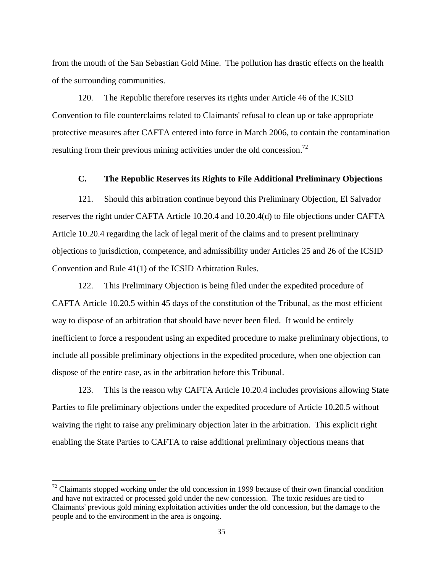from the mouth of the San Sebastian Gold Mine. The pollution has drastic effects on the health of the surrounding communities.

120. The Republic therefore reserves its rights under Article 46 of the ICSID Convention to file counterclaims related to Claimants' refusal to clean up or take appropriate protective measures after CAFTA entered into force in March 2006, to contain the contamination resulting from their previous mining activities under the old concession.<sup>72</sup>

## **C. The Republic Reserves its Rights to File Additional Preliminary Objections**

121. Should this arbitration continue beyond this Preliminary Objection, El Salvador reserves the right under CAFTA Article 10.20.4 and 10.20.4(d) to file objections under CAFTA Article 10.20.4 regarding the lack of legal merit of the claims and to present preliminary objections to jurisdiction, competence, and admissibility under Articles 25 and 26 of the ICSID Convention and Rule 41(1) of the ICSID Arbitration Rules.

122. This Preliminary Objection is being filed under the expedited procedure of CAFTA Article 10.20.5 within 45 days of the constitution of the Tribunal, as the most efficient way to dispose of an arbitration that should have never been filed. It would be entirely inefficient to force a respondent using an expedited procedure to make preliminary objections, to include all possible preliminary objections in the expedited procedure, when one objection can dispose of the entire case, as in the arbitration before this Tribunal.

123. This is the reason why CAFTA Article 10.20.4 includes provisions allowing State Parties to file preliminary objections under the expedited procedure of Article 10.20.5 without waiving the right to raise any preliminary objection later in the arbitration. This explicit right enabling the State Parties to CAFTA to raise additional preliminary objections means that

 $72$  Claimants stopped working under the old concession in 1999 because of their own financial condition and have not extracted or processed gold under the new concession. The toxic residues are tied to Claimants' previous gold mining exploitation activities under the old concession, but the damage to the people and to the environment in the area is ongoing.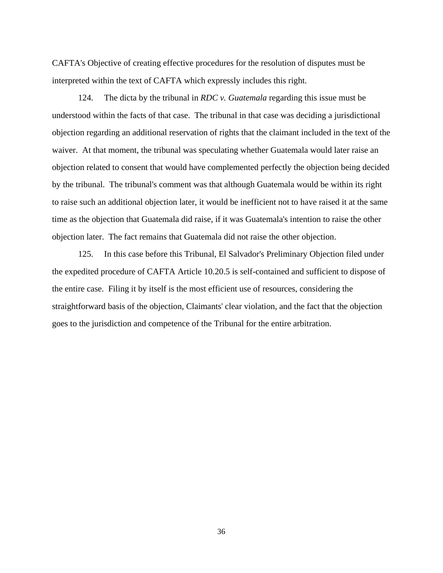CAFTA's Objective of creating effective procedures for the resolution of disputes must be interpreted within the text of CAFTA which expressly includes this right.

124. The dicta by the tribunal in *RDC v. Guatemala* regarding this issue must be understood within the facts of that case. The tribunal in that case was deciding a jurisdictional objection regarding an additional reservation of rights that the claimant included in the text of the waiver. At that moment, the tribunal was speculating whether Guatemala would later raise an objection related to consent that would have complemented perfectly the objection being decided by the tribunal. The tribunal's comment was that although Guatemala would be within its right to raise such an additional objection later, it would be inefficient not to have raised it at the same time as the objection that Guatemala did raise, if it was Guatemala's intention to raise the other objection later. The fact remains that Guatemala did not raise the other objection.

125. In this case before this Tribunal, El Salvador's Preliminary Objection filed under the expedited procedure of CAFTA Article 10.20.5 is self-contained and sufficient to dispose of the entire case. Filing it by itself is the most efficient use of resources, considering the straightforward basis of the objection, Claimants' clear violation, and the fact that the objection goes to the jurisdiction and competence of the Tribunal for the entire arbitration.